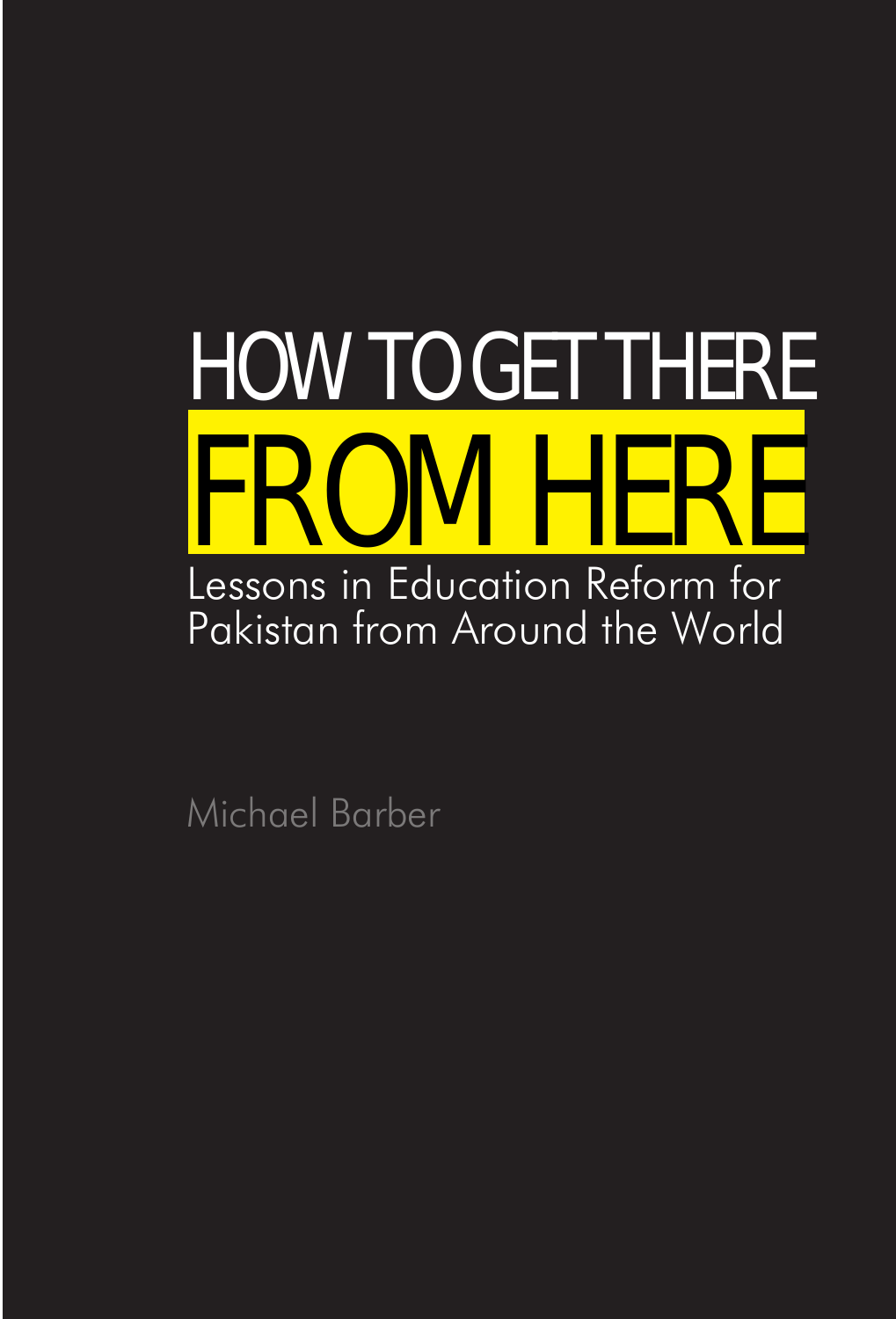

Michael Barber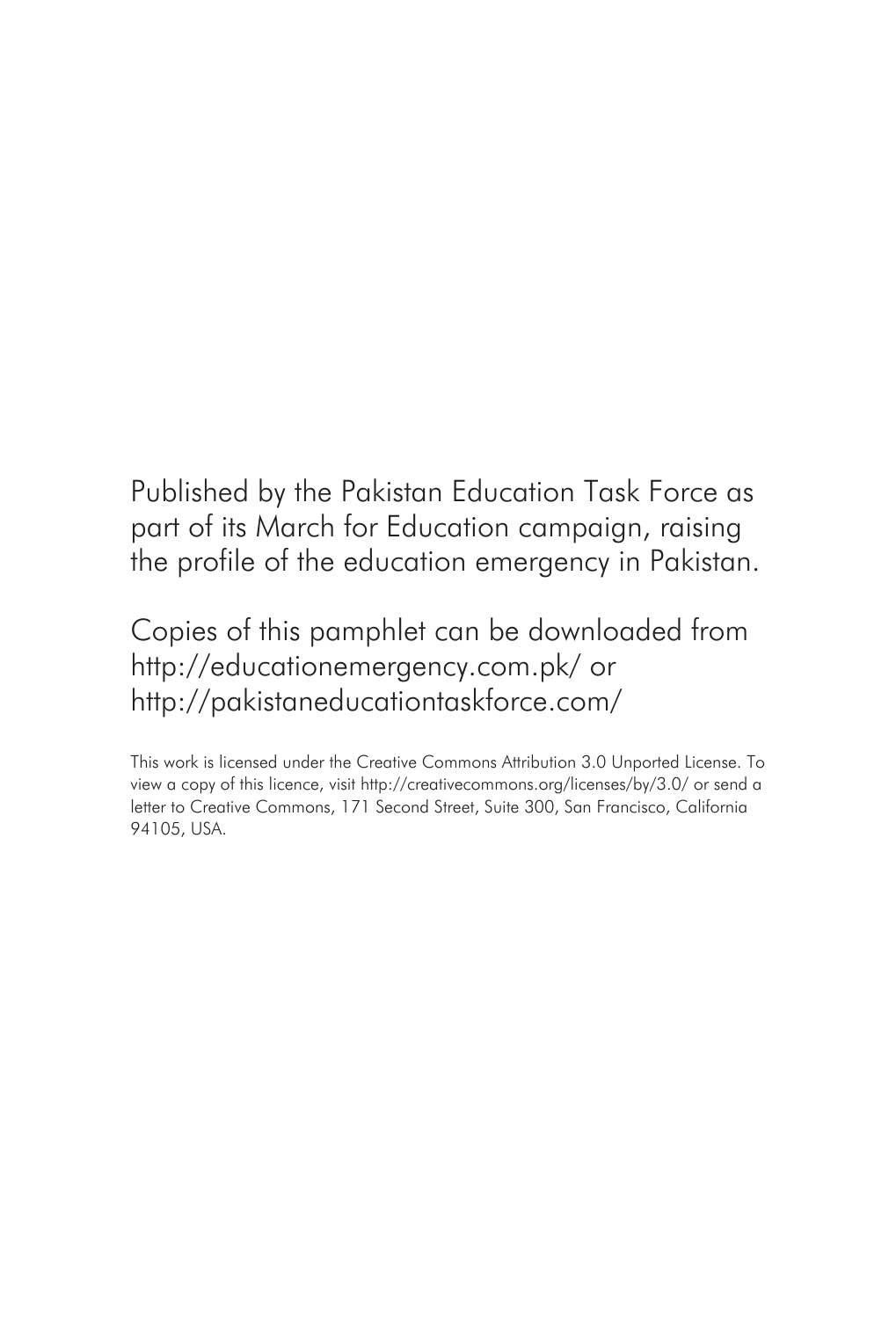Published by the Pakistan Education Task Force as part of its March for Education campaign, raising the profile of the education emergency in Pakistan.

Copies of this pamphlet can be downloaded from http://educationemergency.com.pk/ or http://pakistaneducationtaskforce.com/

This work is licensed under the Creative Commons Attribution 3.0 Unported License. To view a copy of this licence, visit http://creativecommons.org/licenses/by/3.0/ or send a letter to Creative Commons, 171 Second Street, Suite 300, San Francisco, California 94105, USA.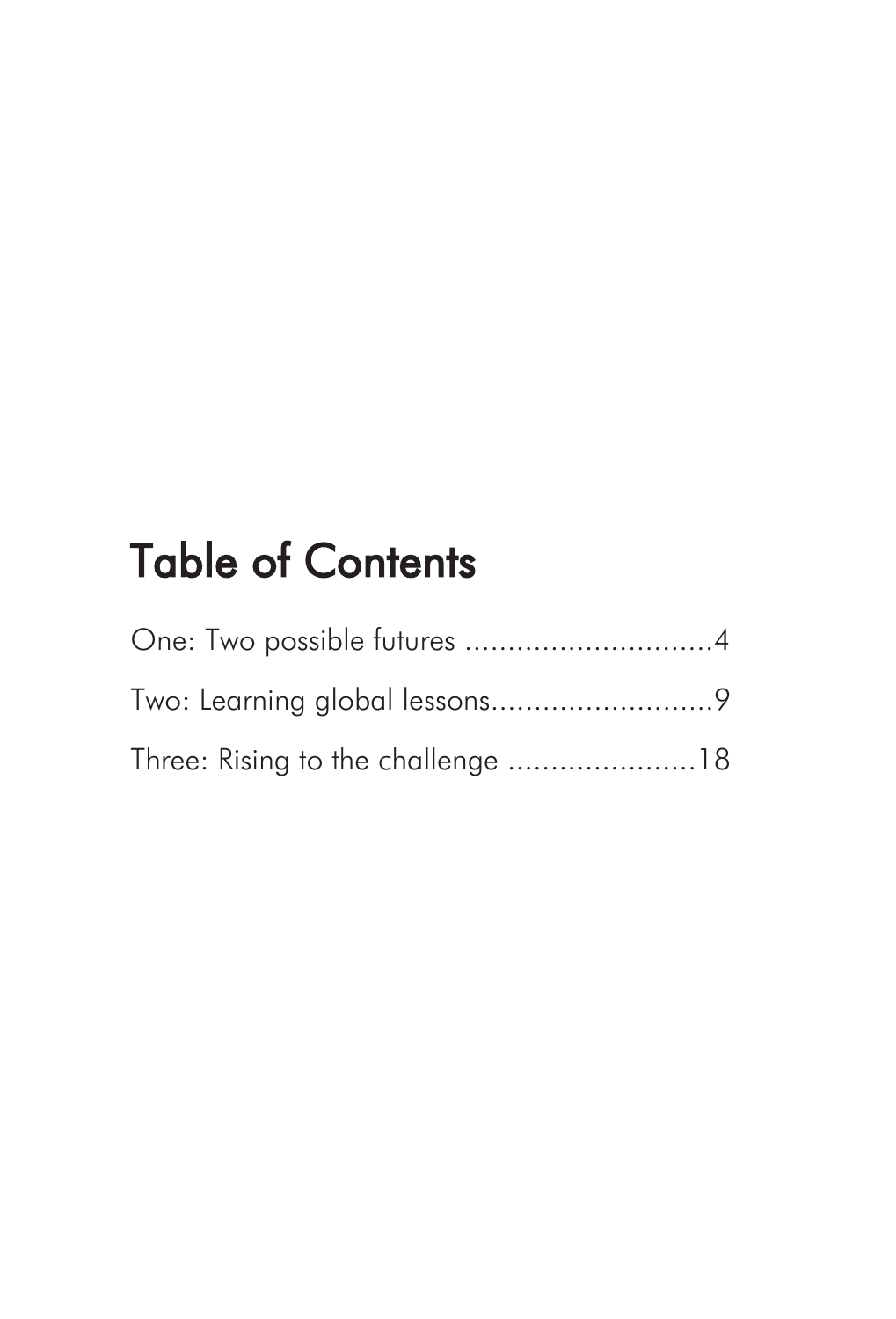# Table of Contents

| One: Two possible futures 4       |  |
|-----------------------------------|--|
|                                   |  |
| Three: Rising to the challenge 18 |  |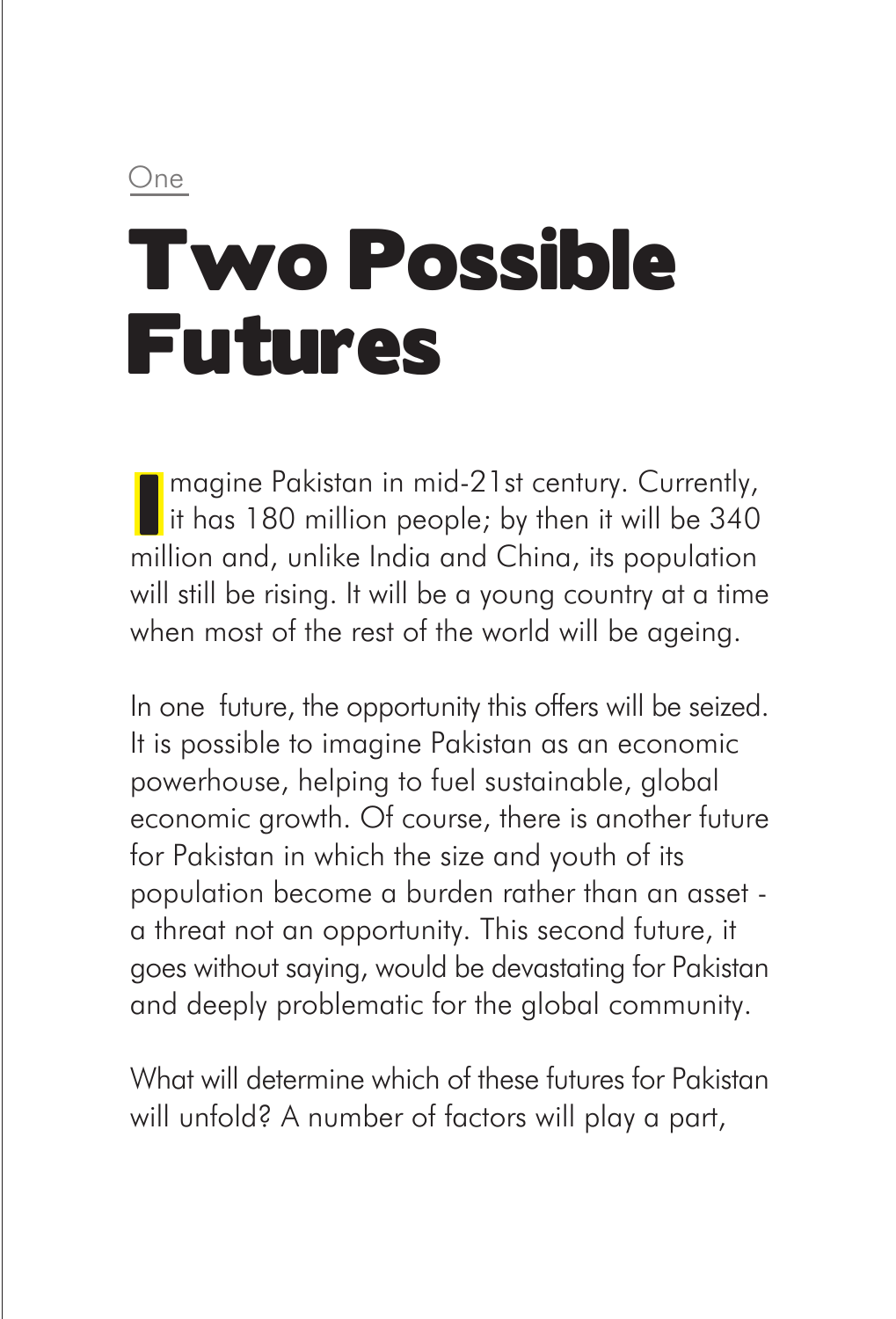One

# Two Possible Futures

magine Pakistan in mid-21st century. Currently,  $\parallel$  it has 180 million people; by then it will be 340 million and, unlike India and China, its population will still be rising. It will be a young country at a time when most of the rest of the world will be ageing.

In one future, the opportunity this offers will be seized. It is possible to imagine Pakistan as an economic powerhouse, helping to fuel sustainable, global economic growth. Of course, there is another future for Pakistan in which the size and youth of its population become a burden rather than an asset a threat not an opportunity. This second future, it goes without saying, would be devastating for Pakistan and deeply problematic for the global community.

What will determine which of these futures for Pakistan will unfold? A number of factors will play a part,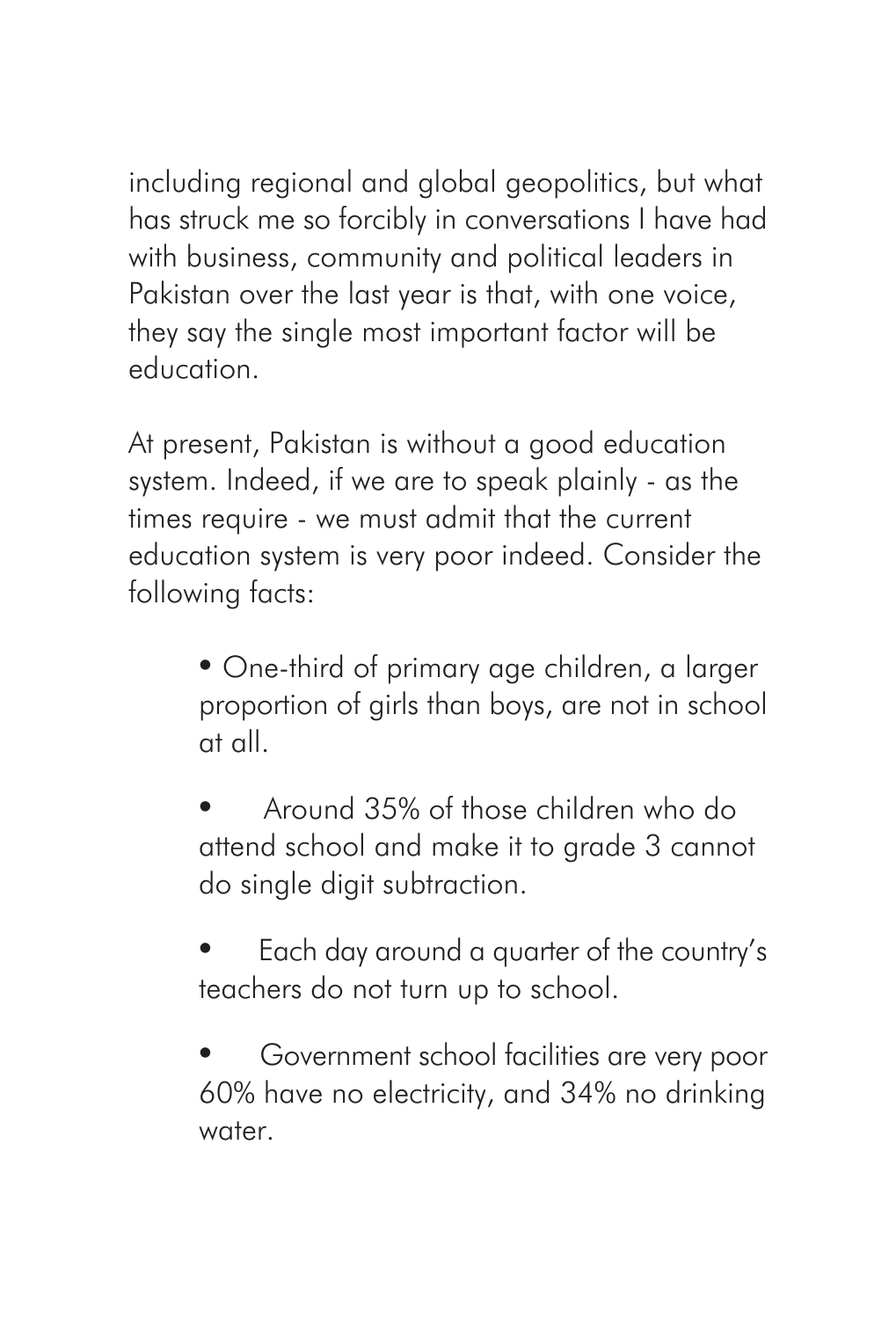including regional and global geopolitics, but what has struck me so forcibly in conversations I have had with business, community and political leaders in Pakistan over the last year is that, with one voice, they say the single most important factor will be education.

At present, Pakistan is without a good education system. Indeed, if we are to speak plainly - as the times require - we must admit that the current education system is very poor indeed. Consider the following facts:

> • One-third of primary age children, a larger proportion of girls than boys, are not in school at all.

• Around 35% of those children who do attend school and make it to grade 3 cannot do single digit subtraction.

• Each day around a quarter of the country's teachers do not turn up to school.

• Government school facilities are very poor 60% have no electricity, and 34% no drinking water.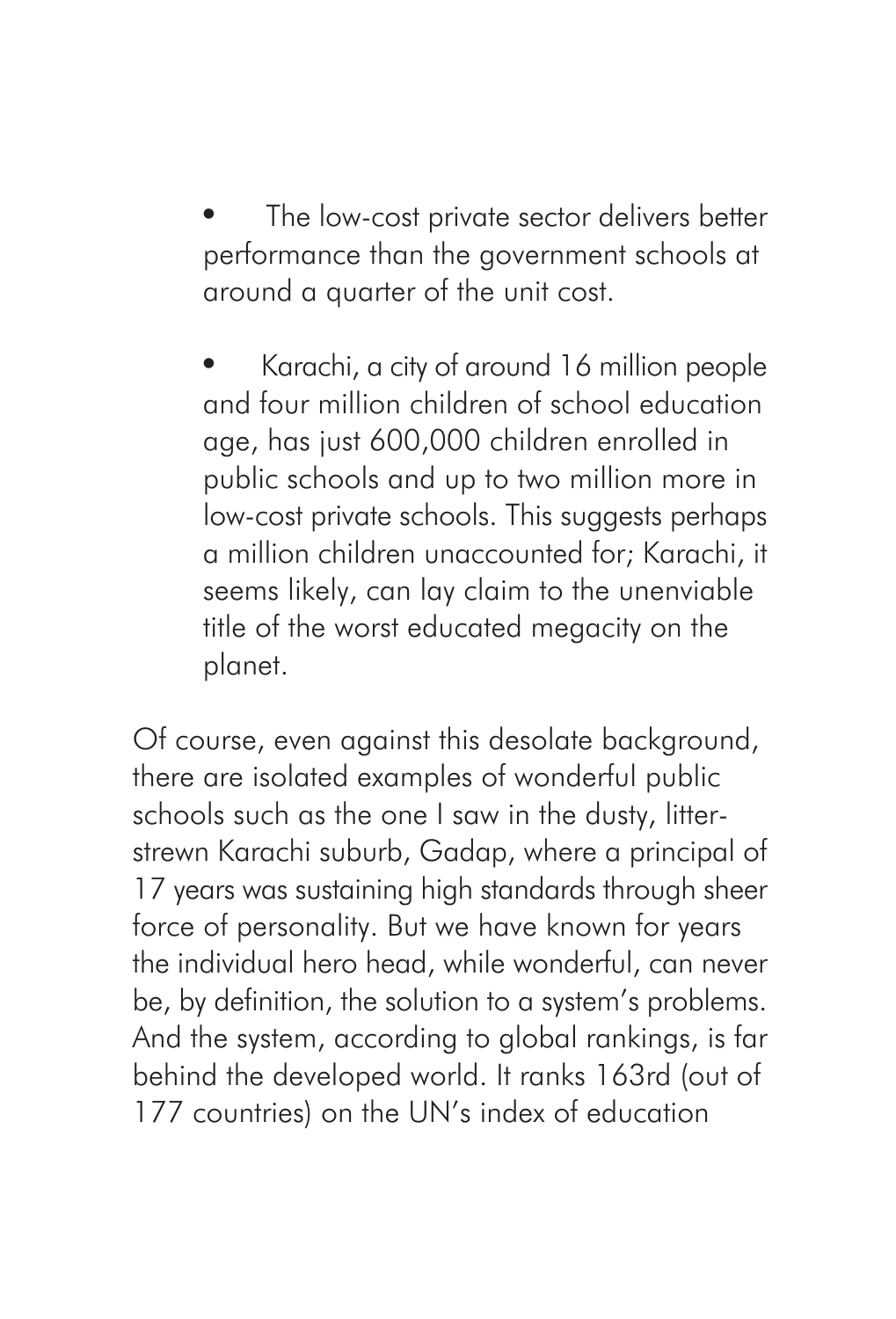The low-cost private sector delivers better performance than the government schools at around a quarter of the unit cost.

• Karachi, a city of around 16 million people and four million children of school education age, has just 600,000 children enrolled in public schools and up to two million more in low-cost private schools. This suggests perhaps a million children unaccounted for; Karachi, it seems likely, can lay claim to the unenviable title of the worst educated megacity on the planet.

Of course, even against this desolate background, there are isolated examples of wonderful public schools such as the one I saw in the dusty, litterstrewn Karachi suburb, Gadap, where a principal of 17 years was sustaining high standards through sheer force of personality. But we have known for years the individual hero head, while wonderful, can never be, by definition, the solution to a system's problems. And the system, according to global rankings, is far behind the developed world. It ranks 163rd (out of 177 countries) on the UN's index of education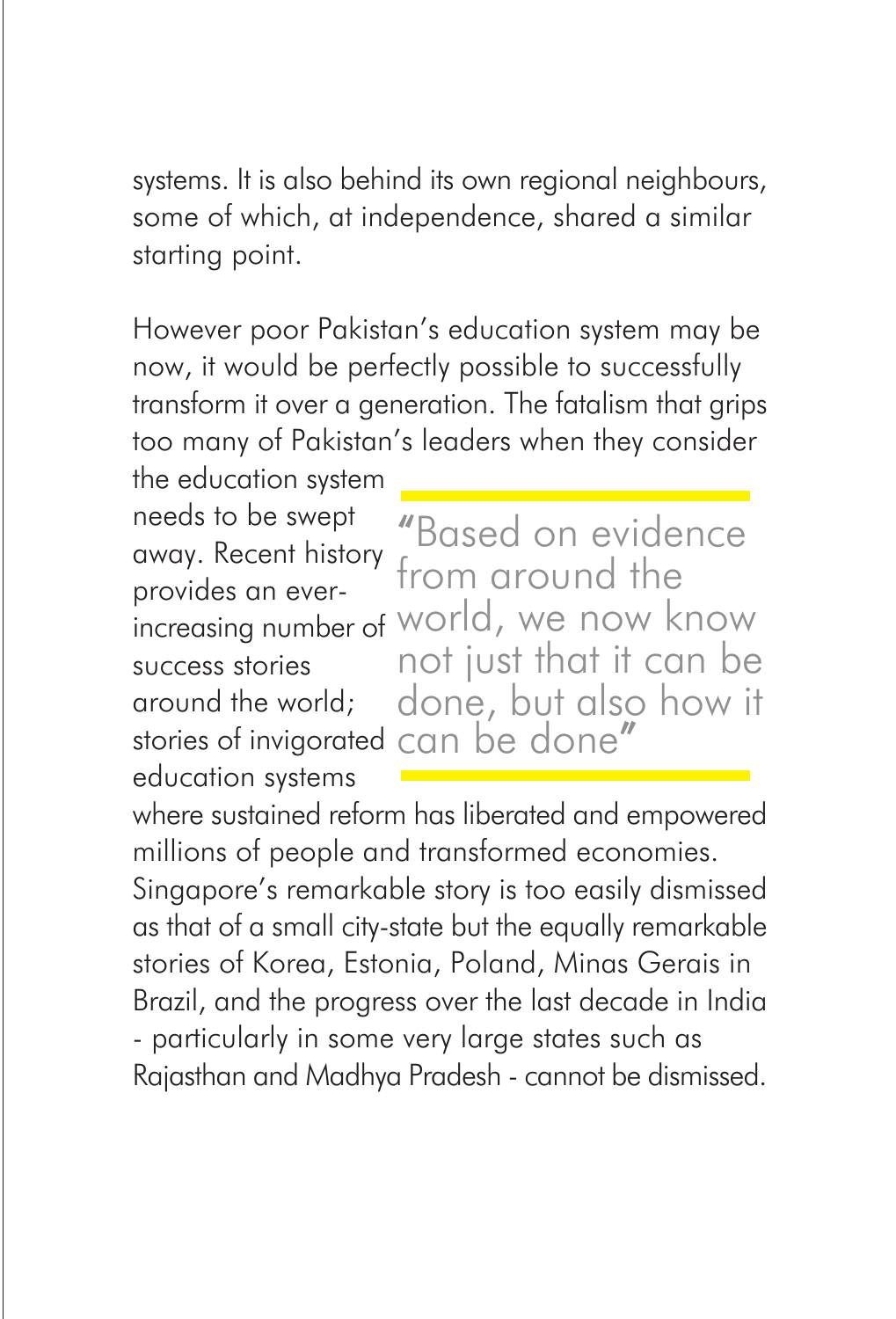systems. It is also behind its own regional neighbours, some of which, at independence, shared a similar starting point.

However poor Pakistan's education system may be now, it would be perfectly possible to successfully transform it over a generation. The fatalism that grips too many of Pakistan's leaders when they consider

the education system needs to be swept away. Recent history provides an eversuccess stories around the world; stories of invigorated can be done"education systems

increasing number of world, we now know "Based on evidence from around the not just that it can be done, but also how it

where sustained reform has liberated and empowered millions of people and transformed economies. Singapore's remarkable story is too easily dismissed as that of a small city-state but the equally remarkable

stories of Korea, Estonia, Poland, Minas Gerais in Brazil, and the progress over the last decade in India - particularly in some very large states such as Rajasthan and Madhya Pradesh - cannot be dismissed.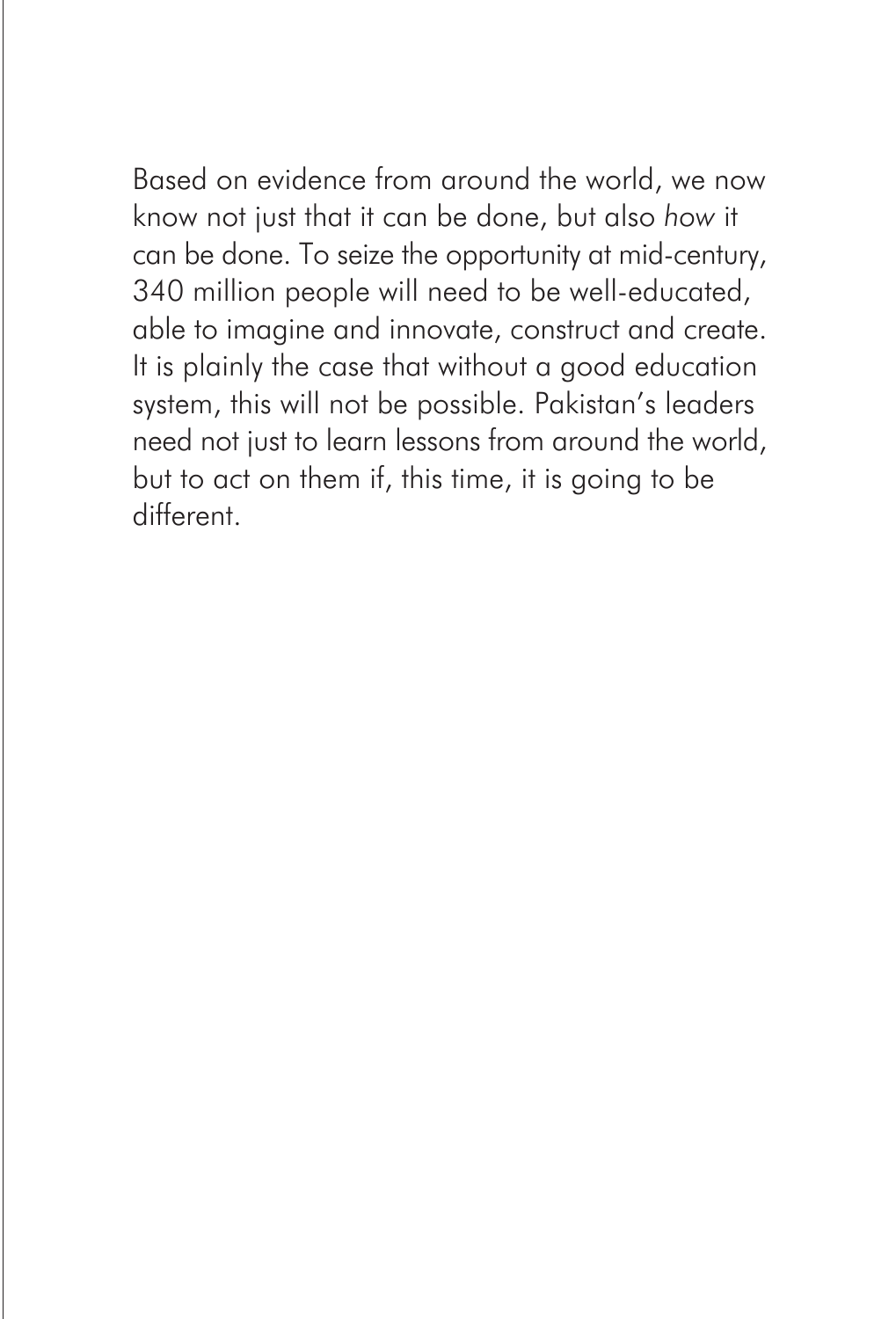Based on evidence from around the world, we now know not just that it can be done, but also *how* it can be done. To seize the opportunity at mid-century, 340 million people will need to be well-educated, able to imagine and innovate, construct and create. It is plainly the case that without a good education system, this will not be possible. Pakistan's leaders need not just to learn lessons from around the world, but to act on them if, this time, it is going to be different.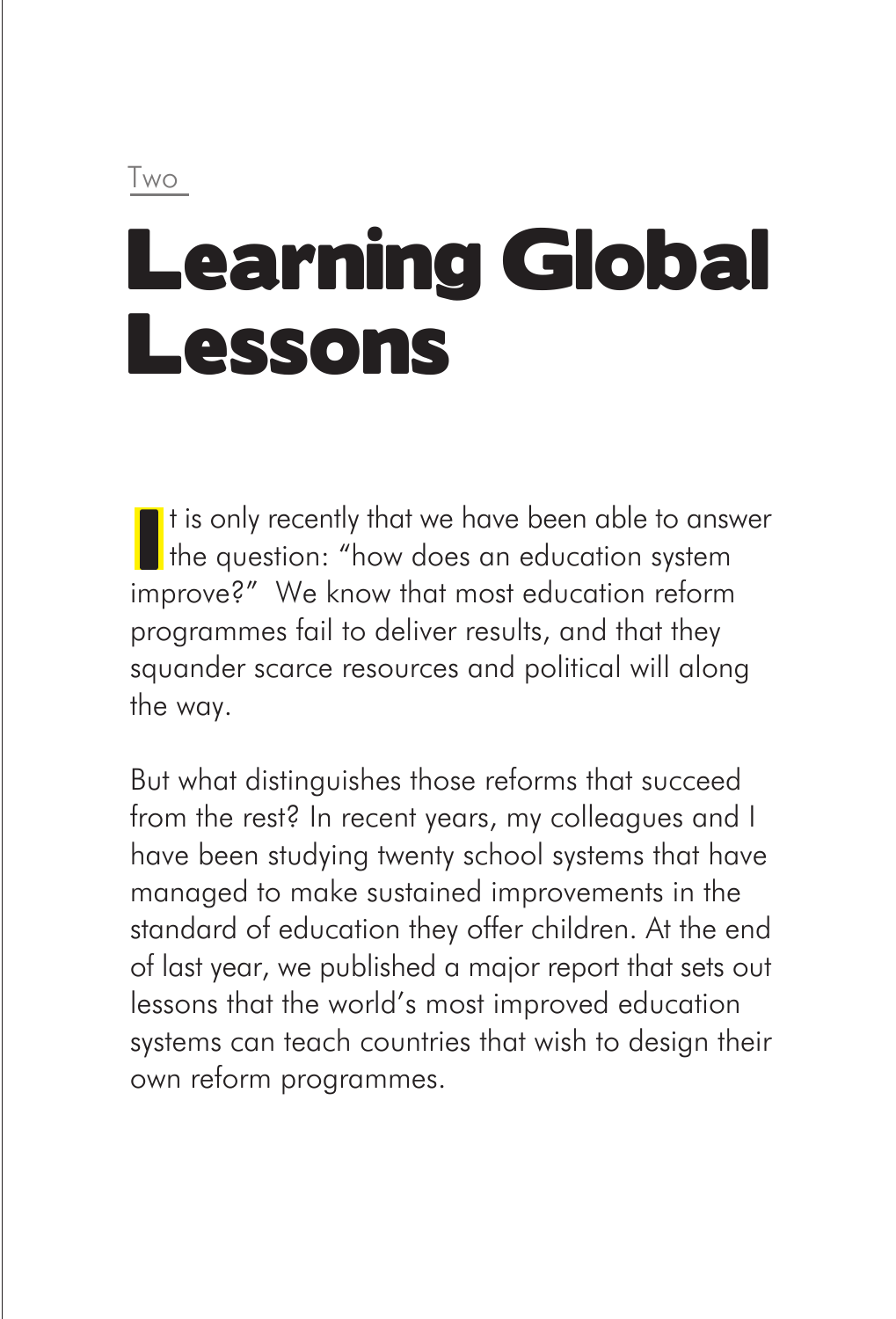# Learning Global Lessons

It is only recently that we have been able to answer  $\blacksquare$  the question: "how does an education system improve?" We know that most education reform programmes fail to deliver results, and that they squander scarce resources and political will along the way.

But what distinguishes those reforms that succeed from the rest? In recent years, my colleagues and I have been studying twenty school systems that have managed to make sustained improvements in the standard of education they offer children. At the end of last year, we published a major report that sets out lessons that the world's most improved education systems can teach countries that wish to design their own reform programmes.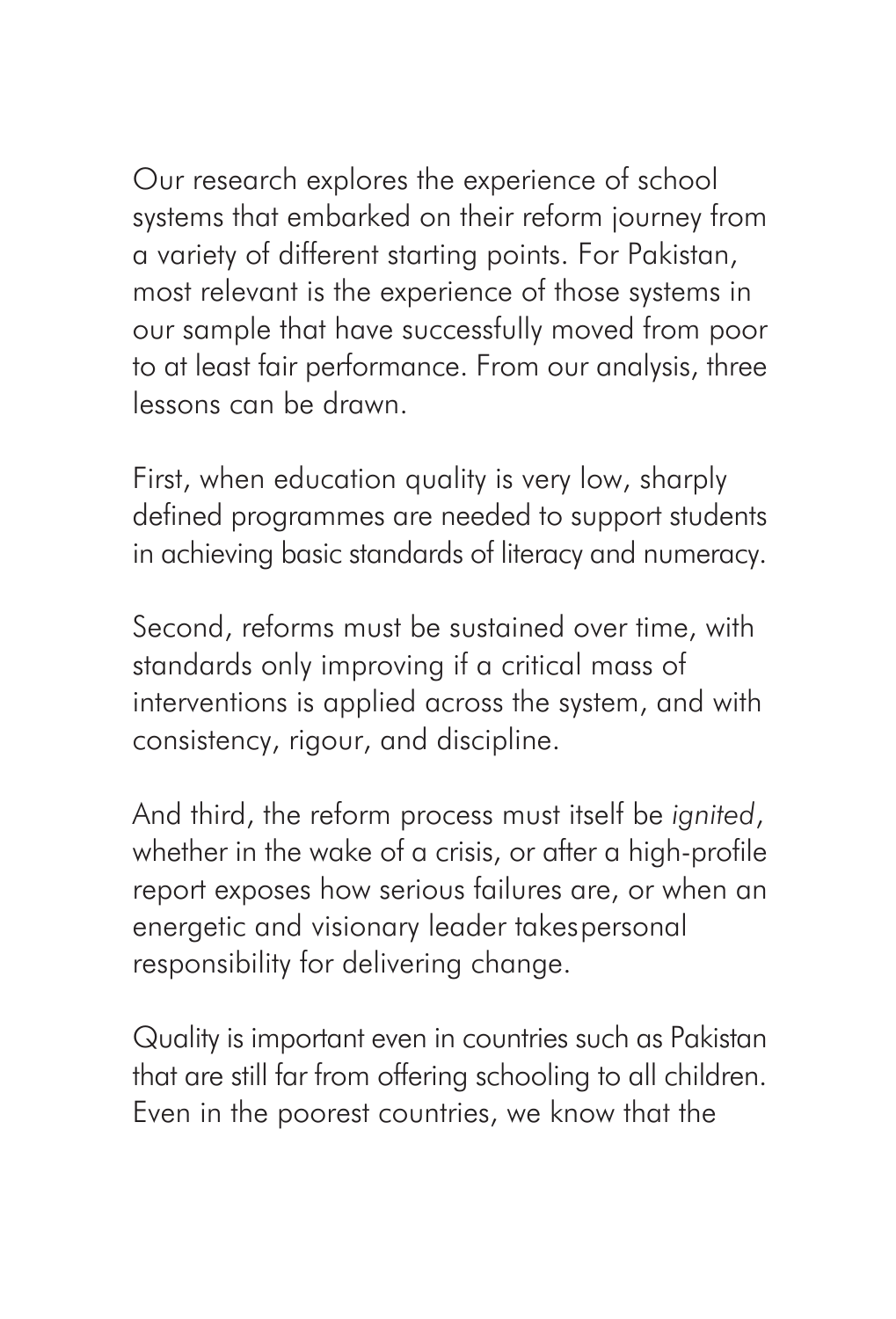Our research explores the experience of school systems that embarked on their reform journey from a variety of different starting points. For Pakistan, most relevant is the experience of those systems in our sample that have successfully moved from poor to at least fair performance. From our analysis, three lessons can be drawn.

First, when education quality is very low, sharply defined programmes are needed to support students in achieving basic standards of literacy and numeracy.

Second, reforms must be sustained over time, with standards only improving if a critical mass of interventions is applied across the system, and with consistency, rigour, and discipline.

And third, the reform process must itself be *ignited*, whether in the wake of a crisis, or after a high-profile report exposes how serious failures are, or when an energetic and visionary leader takespersonal responsibility for delivering change.

Quality is important even in countries such as Pakistan that are still far from offering schooling to all children. Even in the poorest countries, we know that the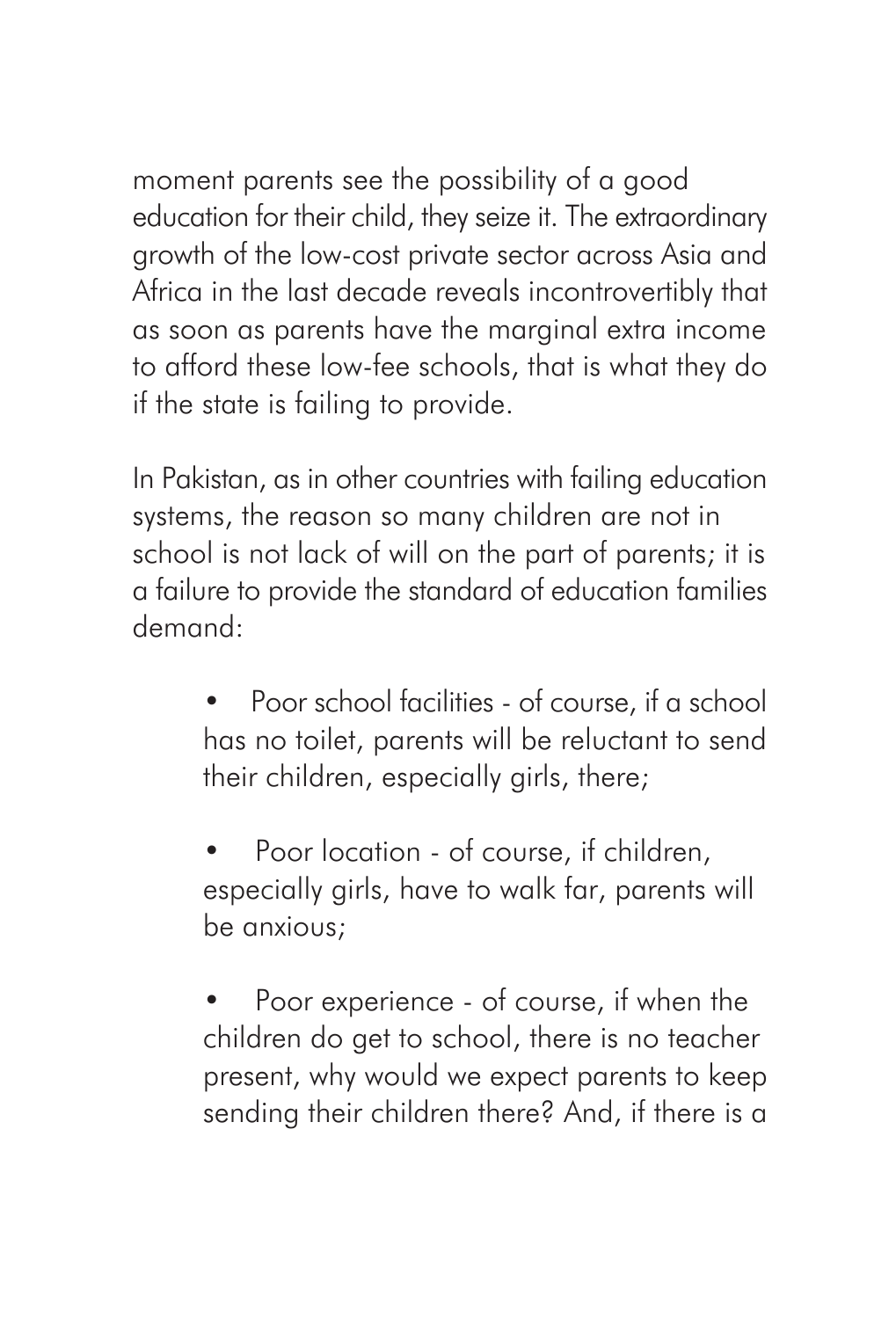moment parents see the possibility of a good education for their child, they seize it. The extraordinary growth of the low-cost private sector across Asia and Africa in the last decade reveals incontrovertibly that as soon as parents have the marginal extra income to afford these low-fee schools, that is what they do if the state is failing to provide.

In Pakistan, as in other countries with failing education systems, the reason so many children are not in school is not lack of will on the part of parents; it is a failure to provide the standard of education families demand:

- Poor school facilities of course, if a school has no toilet, parents will be reluctant to send their children, especially girls, there;
- Poor location of course, if children, especially girls, have to walk far, parents will be anxious;
- Poor experience of course, if when the children do get to school, there is no teacher present, why would we expect parents to keep sending their children there? And, if there is a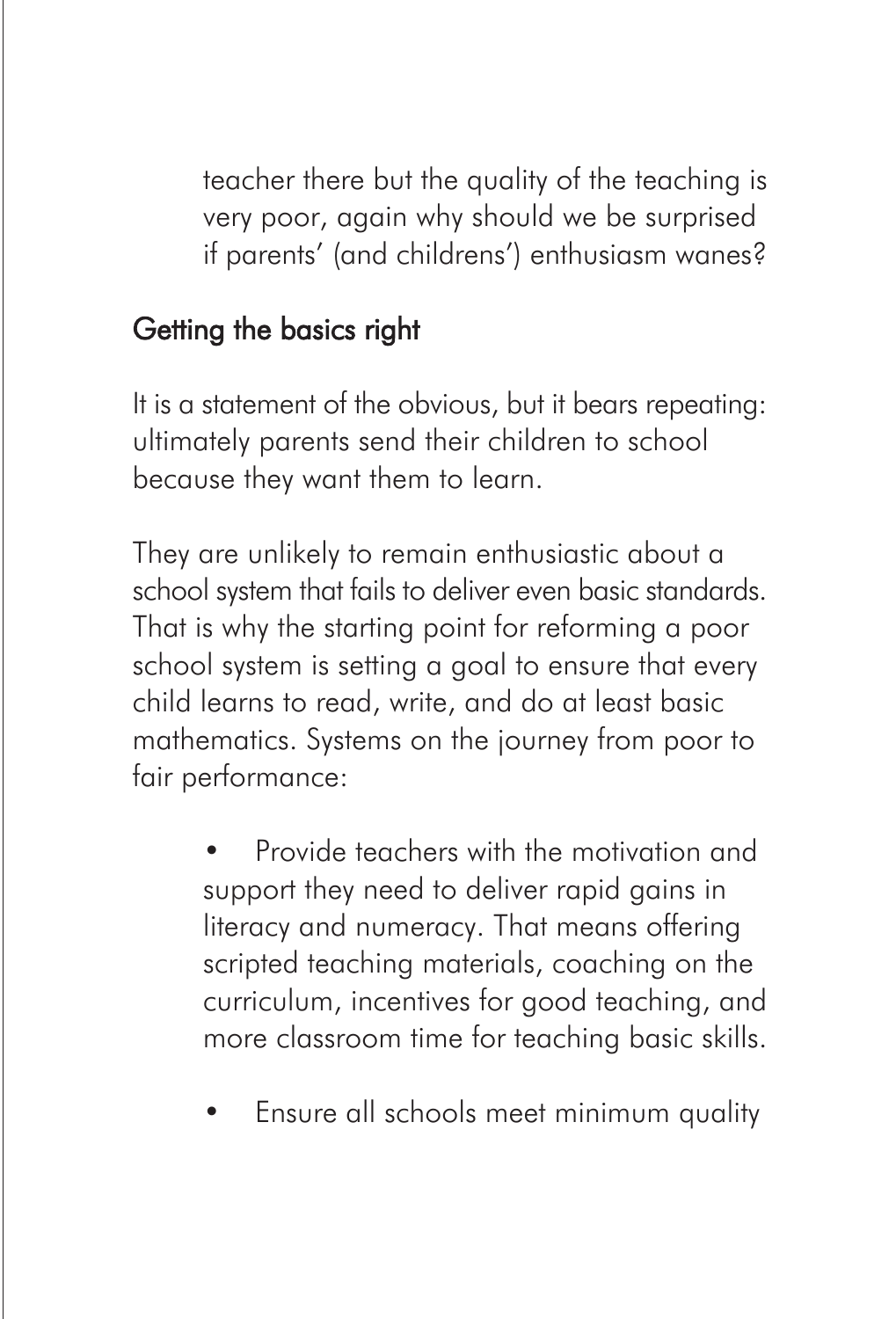teacher there but the quality of the teaching is very poor, again why should we be surprised if parents' (and childrens') enthusiasm wanes?

### Getting the basics right

It is a statement of the obvious, but it bears repeating: ultimately parents send their children to school because they want them to learn.

They are unlikely to remain enthusiastic about a school system that fails to deliver even basic standards. That is why the starting point for reforming a poor school system is setting a goal to ensure that every child learns to read, write, and do at least basic mathematics. Systems on the journey from poor to fair performance:

> • Provide teachers with the motivation and support they need to deliver rapid gains in literacy and numeracy. That means offering scripted teaching materials, coaching on the curriculum, incentives for good teaching, and more classroom time for teaching basic skills.

> • Ensure all schools meet minimum quality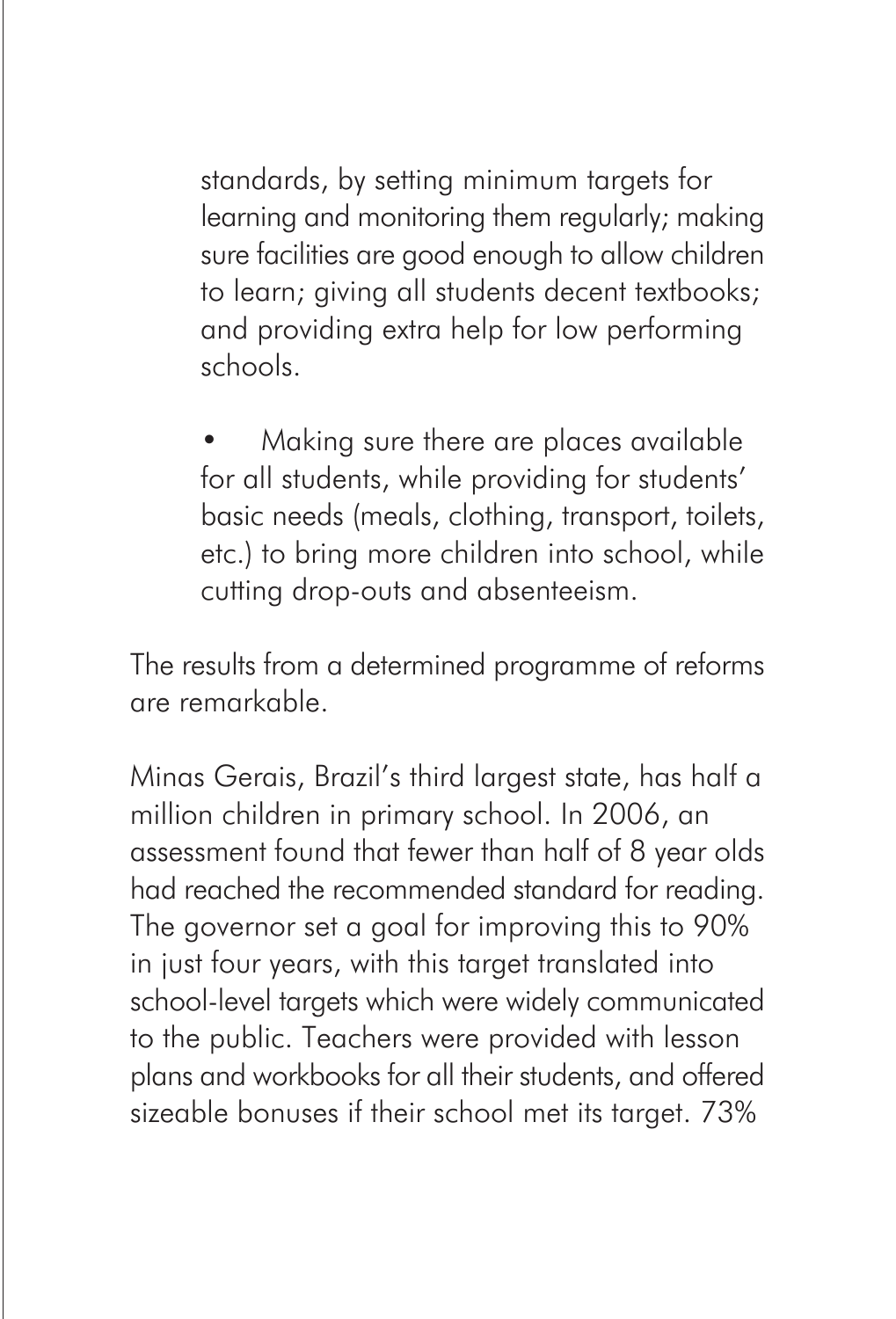standards, by setting minimum targets for learning and monitoring them regularly; making sure facilities are good enough to allow children to learn; giving all students decent textbooks; and providing extra help for low performing schools.

• Making sure there are places available for all students, while providing for students' basic needs (meals, clothing, transport, toilets, etc.) to bring more children into school, while cutting drop-outs and absenteeism.

The results from a determined programme of reforms are remarkable.

Minas Gerais, Brazil's third largest state, has half a million children in primary school. In 2006, an assessment found that fewer than half of 8 year olds had reached the recommended standard for reading. The governor set a goal for improving this to 90% in just four years, with this target translated into school-level targets which were widely communicated to the public. Teachers were provided with lesson plans and workbooks for all their students, and offered sizeable bonuses if their school met its target. 73%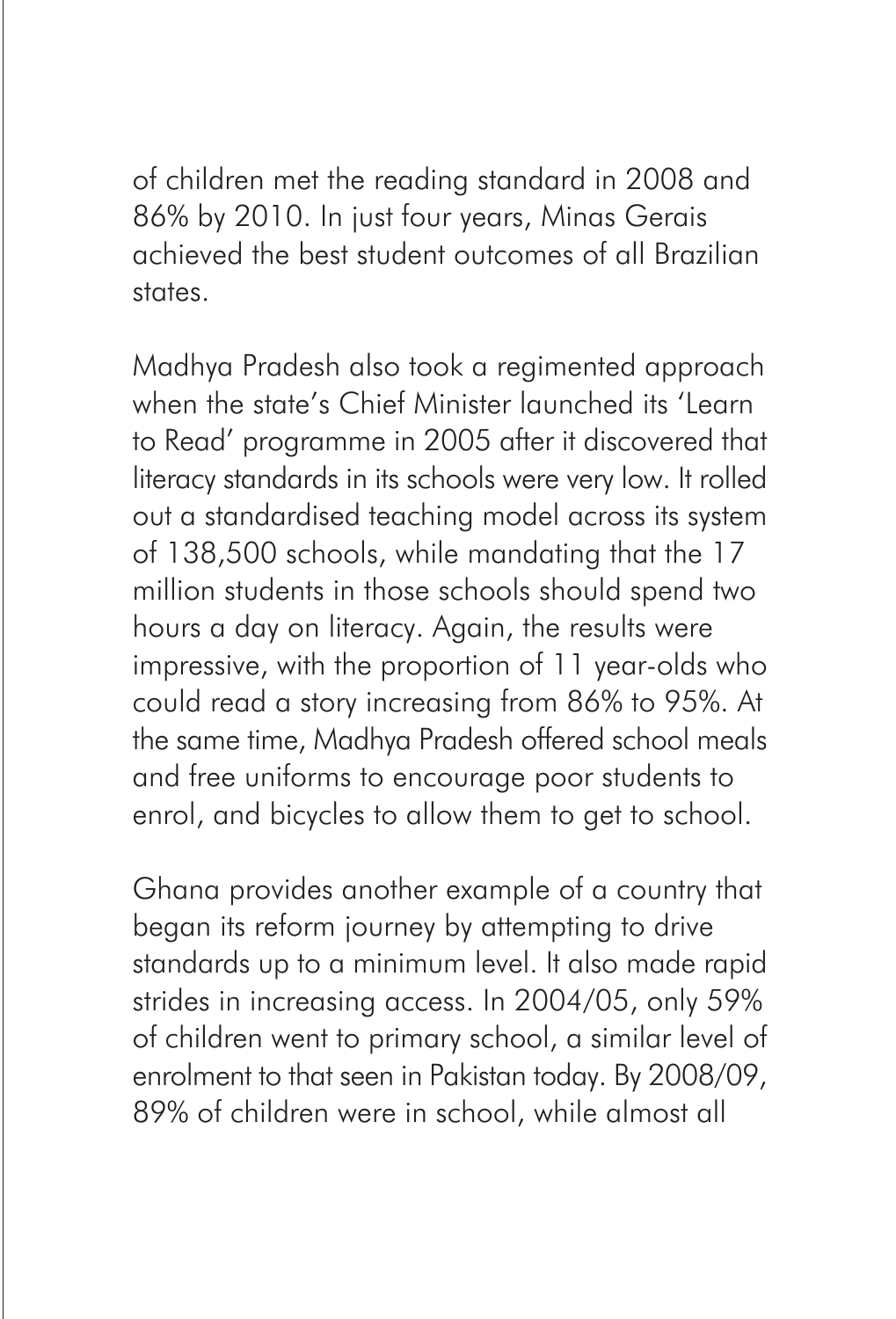of children met the reading standard in 2008 and 86% by 2010. In just four years, Minas Gerais achieved the best student outcomes of all Brazilian states.

Madhya Pradesh also took a regimented approach when the state's Chief Minister launched its 'Learn to Read' programme in 2005 after it discovered that literacy standards in its schools were very low. It rolled out a standardised teaching model across its system of 138,500 schools, while mandating that the 17 million students in those schools should spend two hours a day on literacy. Again, the results were impressive, with the proportion of 11 year-olds who could read a story increasing from 86% to 95%. At the same time, Madhya Pradesh offered school meals and free uniforms to encourage poor students to enrol, and bicycles to allow them to get to school.

Ghana provides another example of a country that began its reform journey by attempting to drive standards up to a minimum level. It also made rapid strides in increasing access. In 2004/05, only 59% of children went to primary school, a similar level of enrolment to that seen in Pakistan today. By 2008/09, 89% of children were in school, while almost all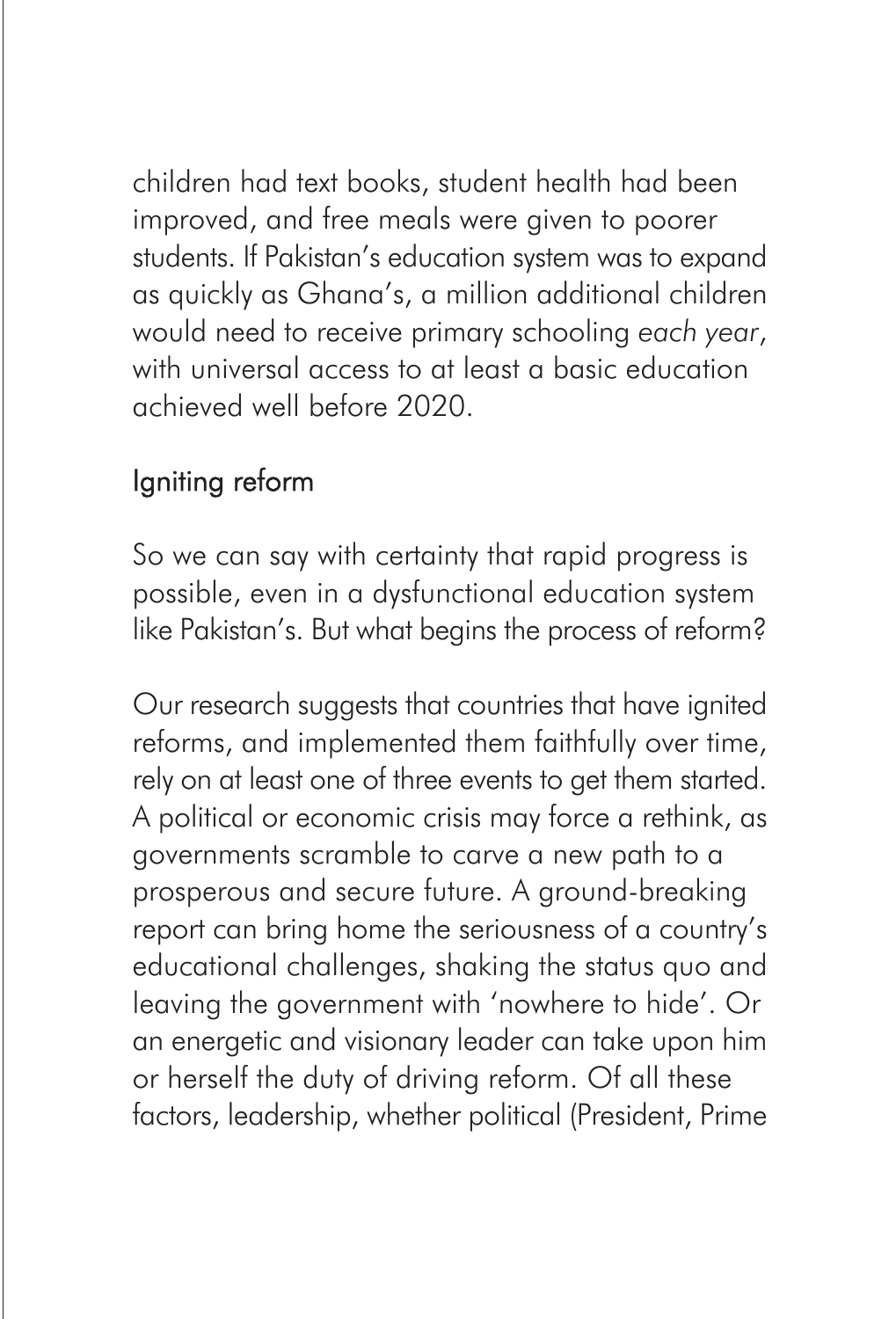children had text books, student health had been improved, and free meals were given to poorer students. If Pakistan's education system was to expand as quickly as Ghana's, a million additional children would need to receive primary schooling *each year*, with universal access to at least a basic education achieved well before 2020.

# Igniting reform

So we can say with certainty that rapid progress is possible, even in a dysfunctional education system like Pakistan's. But what begins the process of reform?

Our research suggests that countries that have ignited reforms, and implemented them faithfully over time, rely on at least one of three events to get them started. A political or economic crisis may force a rethink, as governments scramble to carve a new path to a prosperous and secure future. A ground-breaking report can bring home the seriousness of a country's educational challenges, shaking the status quo and leaving the government with 'nowhere to hide'. Or an energetic and visionary leader can take upon him or herself the duty of driving reform. Of all these factors, leadership, whether political (President, Prime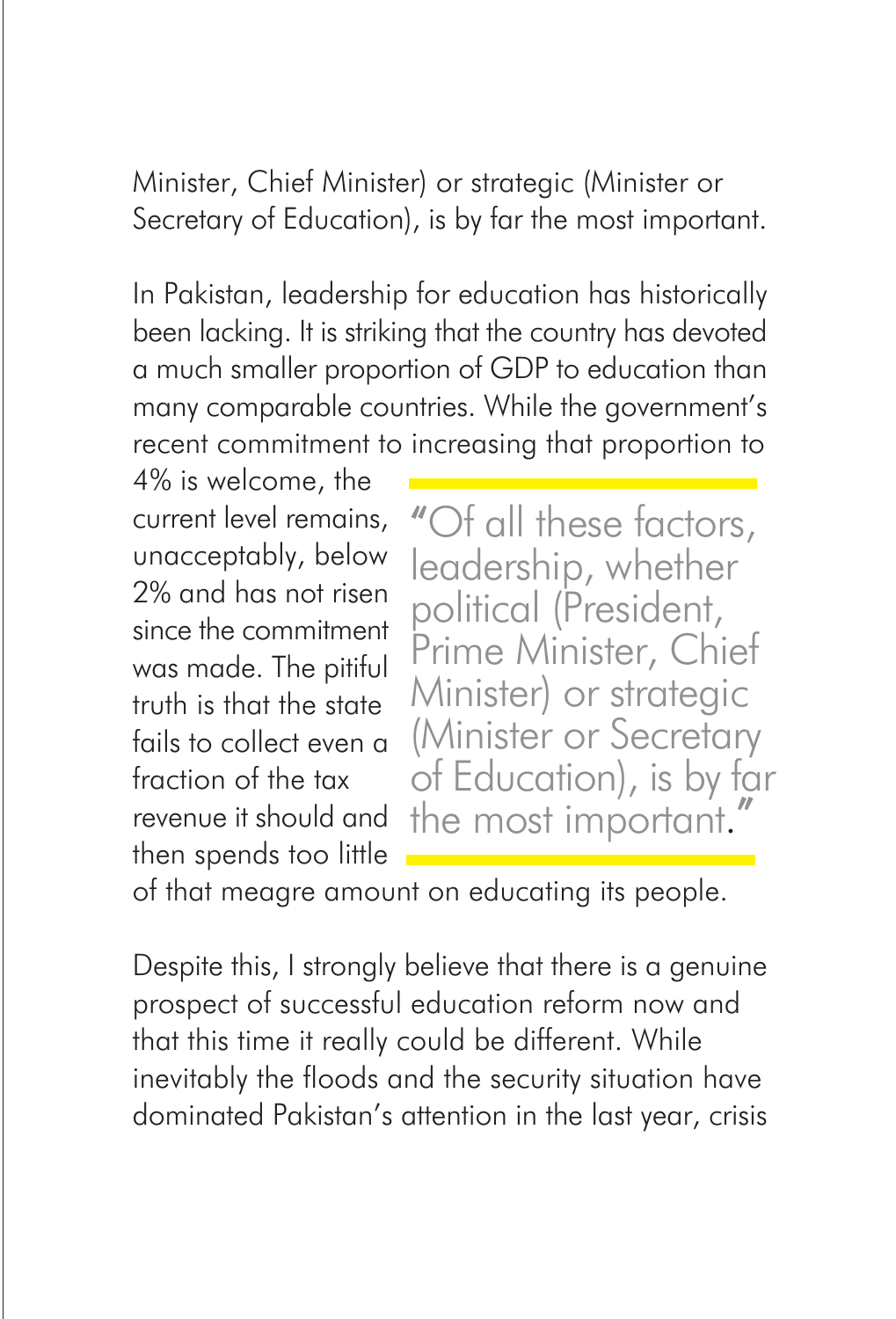Minister, Chief Minister) or strategic (Minister or Secretary of Education), is by far the most important.

In Pakistan, leadership for education has historically been lacking. It is striking that the country has devoted a much smaller proportion of GDP to education than many comparable countries. While the government's recent commitment to increasing that proportion to

4% is welcome, the current level remains, unacceptably, below 2% and has not risen since the commitment was made. The pitiful truth is that the state fails to collect even a fraction of the tax revenue it should and then spends too little

"Of all these factors, leadership, whether political (President, Prime Minister, Chief Minister) or strategic (Minister or Secretary of Education), is by far the most important.

of that meagre amount on educating its people.

Despite this, I strongly believe that there is a genuine prospect of successful education reform now and that this time it really could be different. While inevitably the floods and the security situation have dominated Pakistan's attention in the last year, crisis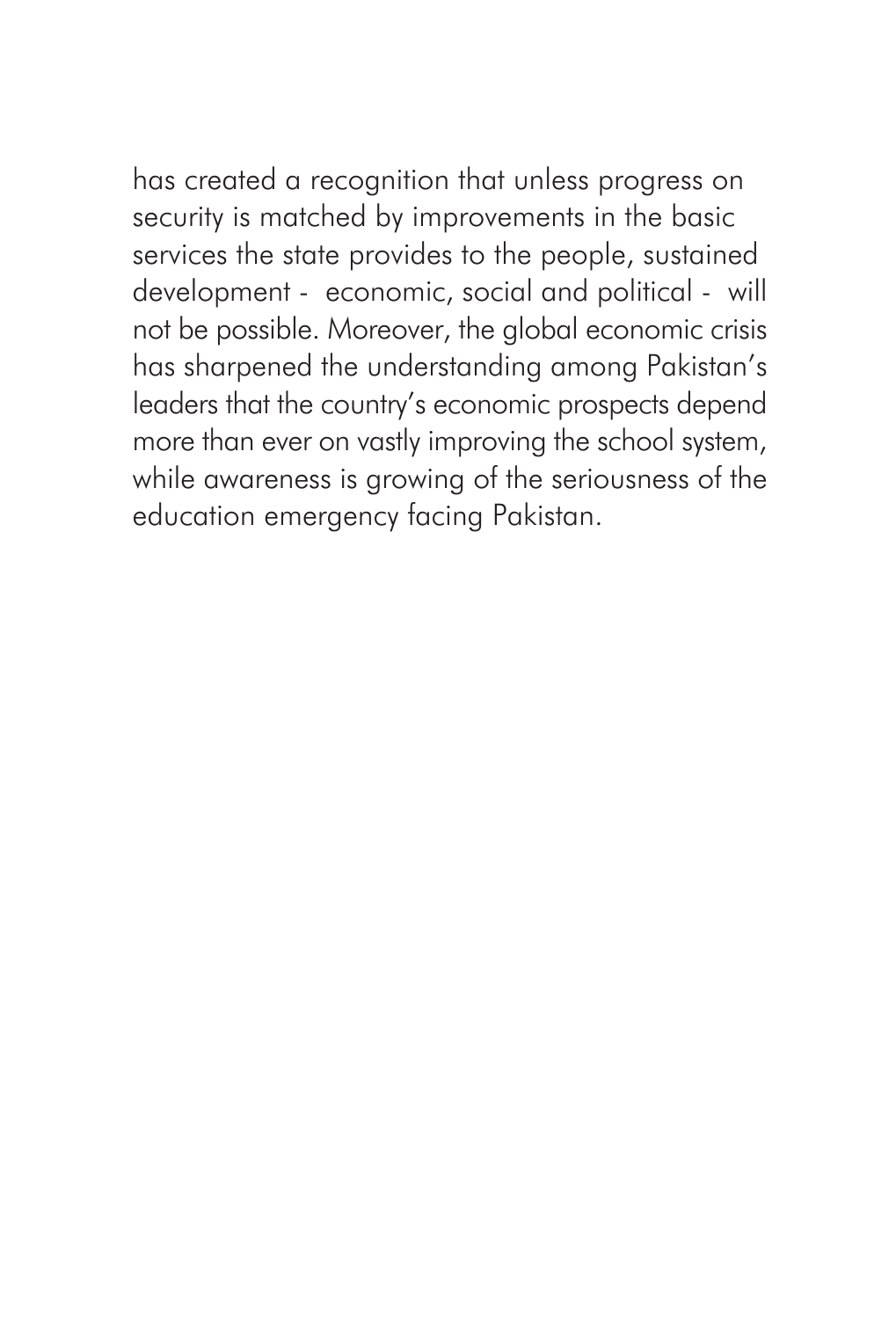has created a recognition that unless progress on security is matched by improvements in the basic services the state provides to the people, sustained development - economic, social and political - will not be possible. Moreover, the global economic crisis has sharpened the understanding among Pakistan's leaders that the country's economic prospects depend more than ever on vastly improving the school system, while awareness is growing of the seriousness of the education emergency facing Pakistan.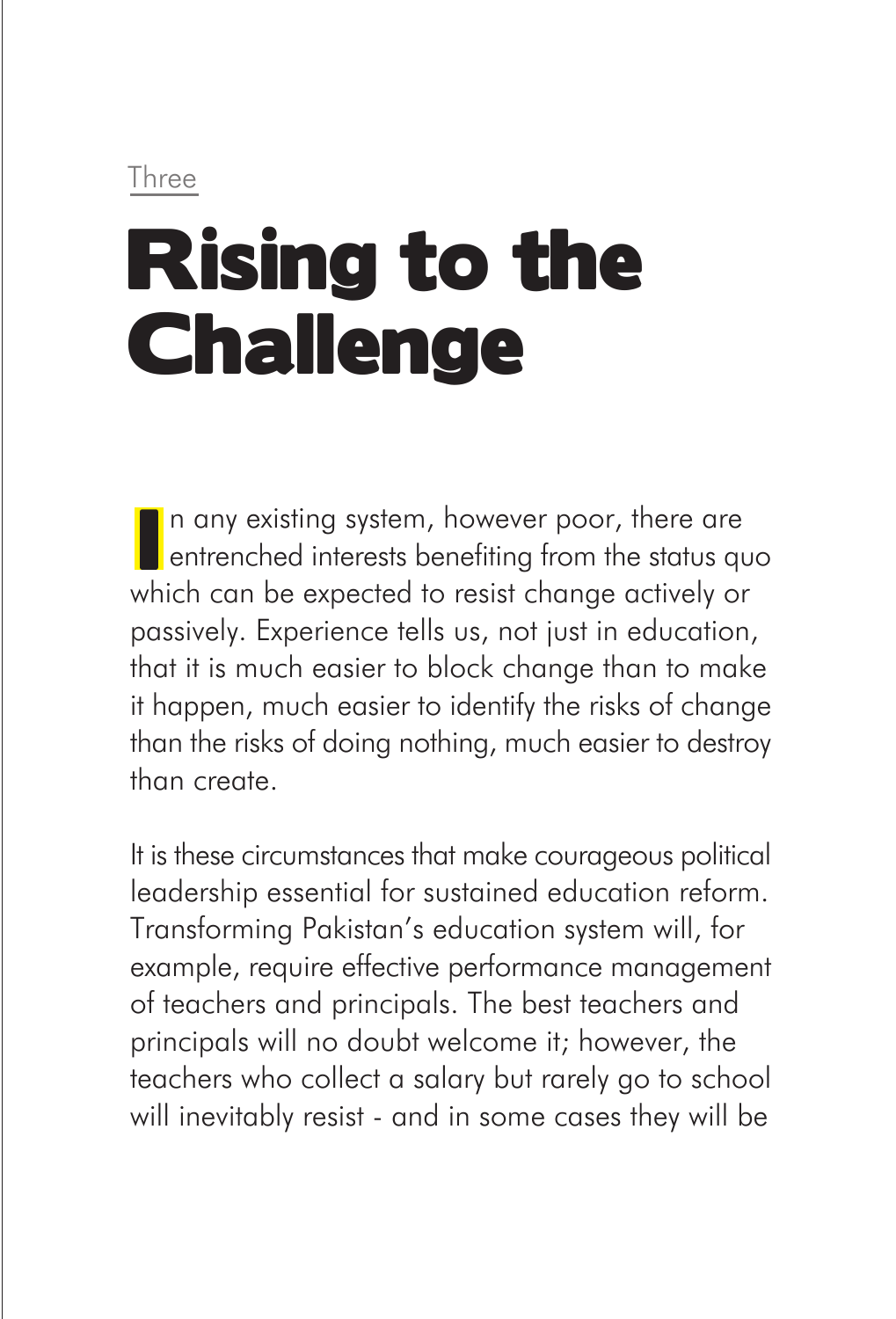#### Three

# Rising to the **Challenge**

n any existing system, however poor, there are **E** entrenched interests benefiting from the status quo which can be expected to resist change actively or passively. Experience tells us, not just in education, that it is much easier to block change than to make it happen, much easier to identify the risks of change than the risks of doing nothing, much easier to destroy than create.

It is these circumstances that make courageous political leadership essential for sustained education reform. Transforming Pakistan's education system will, for example, require effective performance management of teachers and principals. The best teachers and principals will no doubt welcome it; however, the teachers who collect a salary but rarely go to school will inevitably resist - and in some cases they will be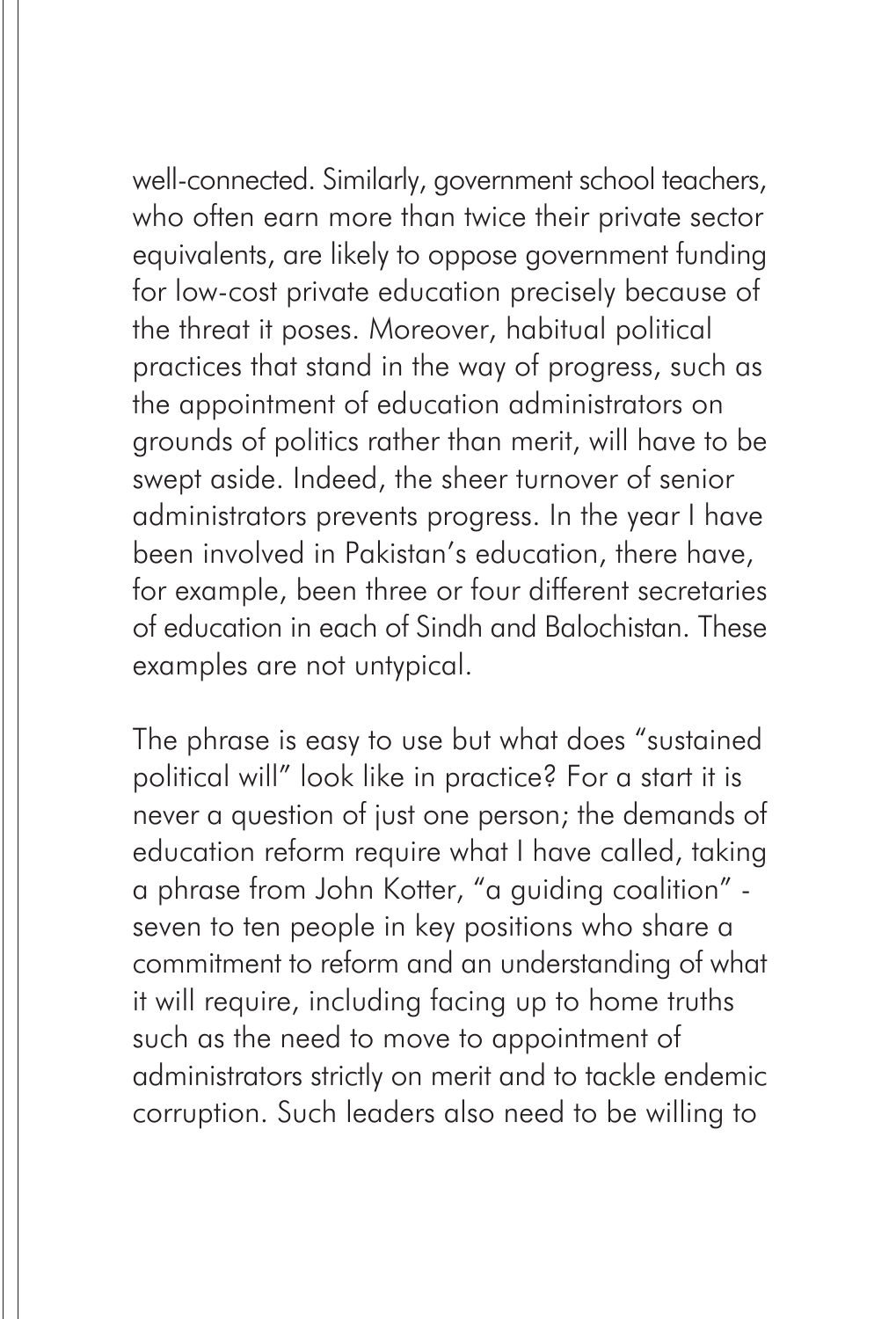well-connected. Similarly, government school teachers, who often earn more than twice their private sector equivalents, are likely to oppose government funding for low-cost private education precisely because of the threat it poses. Moreover, habitual political practices that stand in the way of progress, such as the appointment of education administrators on grounds of politics rather than merit, will have to be swept aside. Indeed, the sheer turnover of senior administrators prevents progress. In the year I have been involved in Pakistan's education, there have, for example, been three or four different secretaries of education in each of Sindh and Balochistan. These examples are not untypical.

The phrase is easy to use but what does "sustained political will" look like in practice? For a start it is never a question of just one person; the demands of education reform require what I have called, taking a phrase from John Kotter, "a guiding coalition" seven to ten people in key positions who share a commitment to reform and an understanding of what it will require, including facing up to home truths such as the need to move to appointment of administrators strictly on merit and to tackle endemic corruption. Such leaders also need to be willing to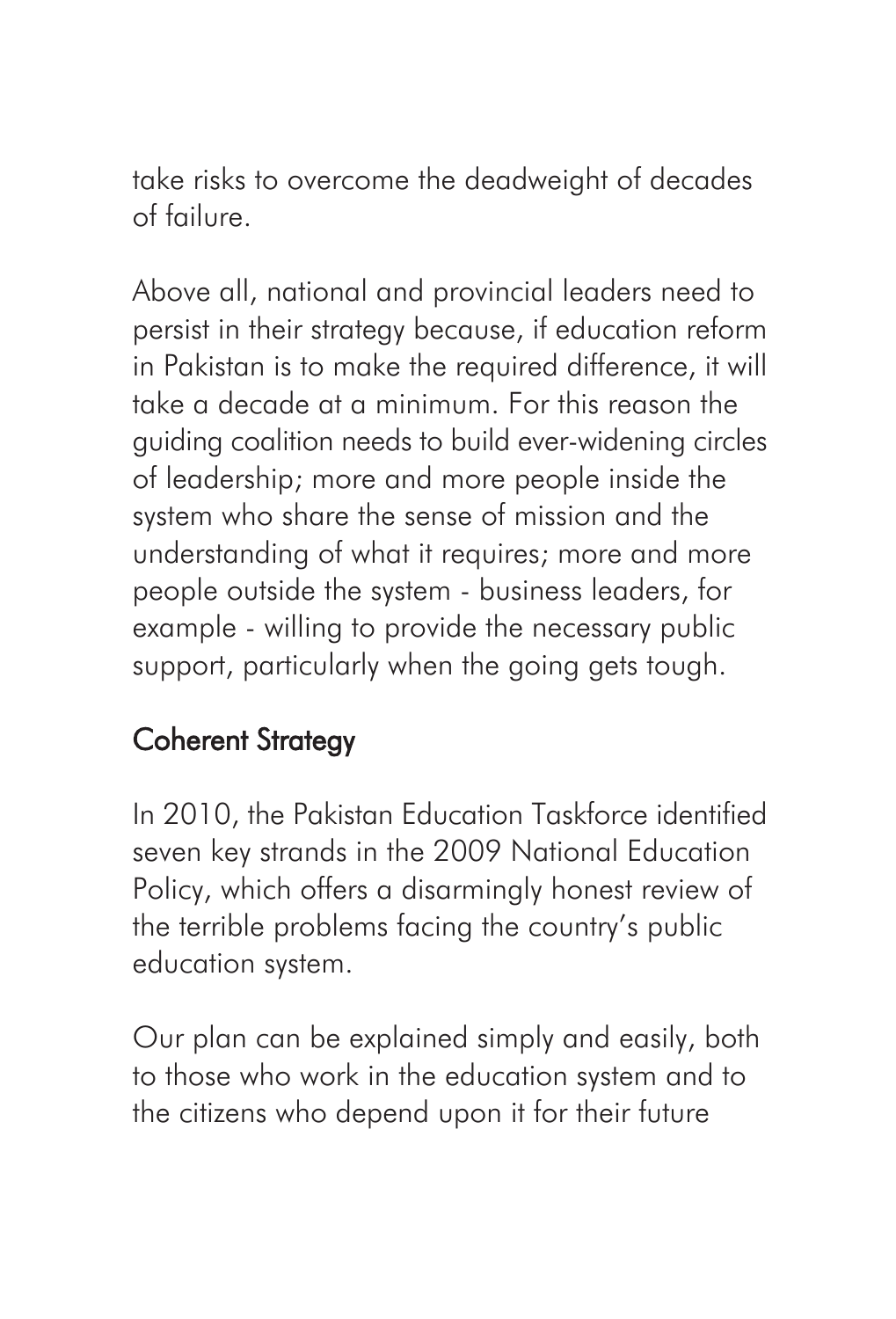take risks to overcome the deadweight of decades of failure.

Above all, national and provincial leaders need to persist in their strategy because, if education reform in Pakistan is to make the required difference, it will take a decade at a minimum. For this reason the guiding coalition needs to build ever-widening circles of leadership; more and more people inside the system who share the sense of mission and the understanding of what it requires; more and more people outside the system - business leaders, for example - willing to provide the necessary public support, particularly when the going gets tough.

# Coherent Strategy

In 2010, the Pakistan Education Taskforce identified seven key strands in the 2009 National Education Policy, which offers a disarmingly honest review of the terrible problems facing the country's public education system.

Our plan can be explained simply and easily, both to those who work in the education system and to the citizens who depend upon it for their future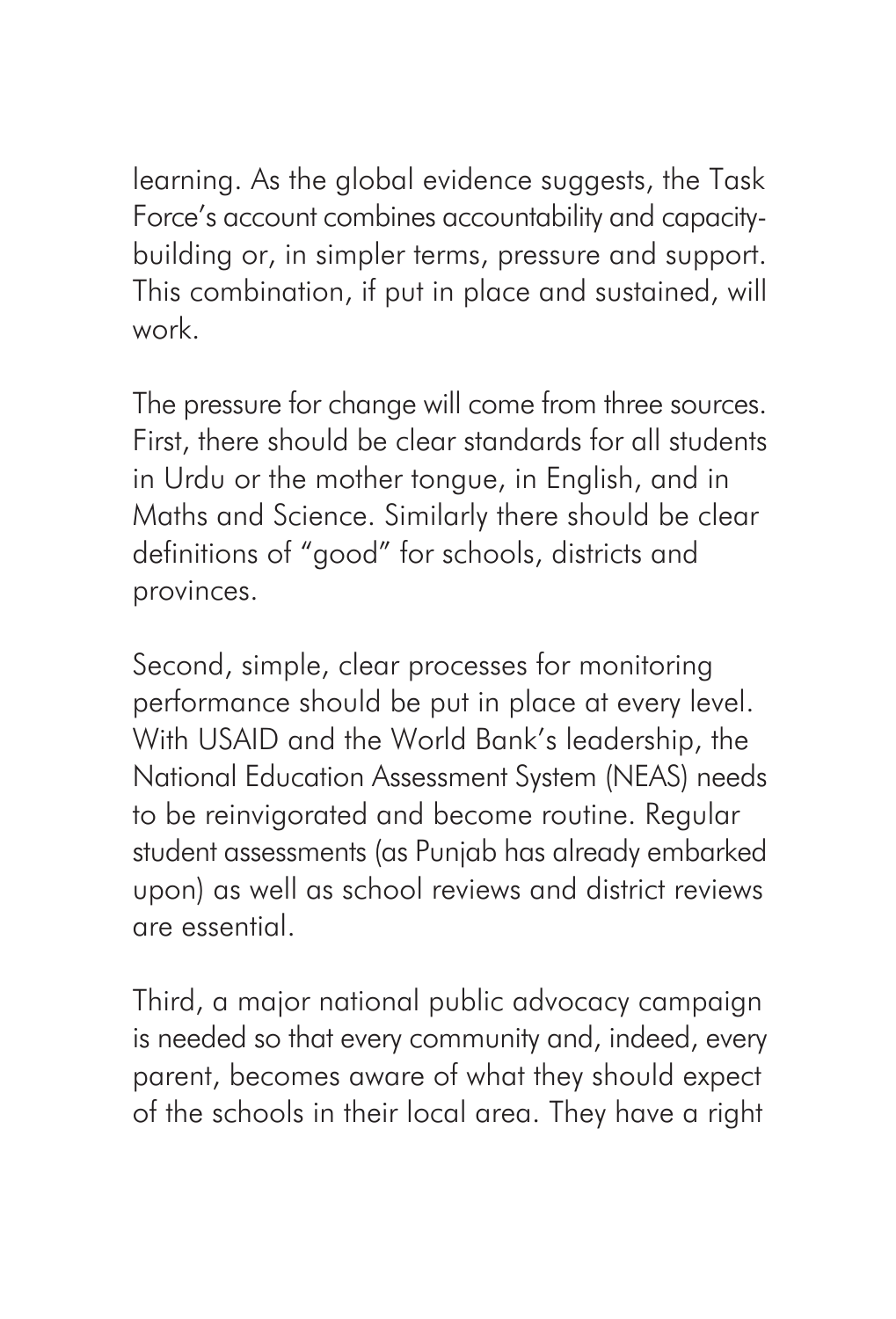learning. As the global evidence suggests, the Task Force's account combines accountability and capacitybuilding or, in simpler terms, pressure and support. This combination, if put in place and sustained, will work.

The pressure for change will come from three sources. First, there should be clear standards for all students in Urdu or the mother tongue, in English, and in Maths and Science. Similarly there should be clear definitions of "good" for schools, districts and provinces.

Second, simple, clear processes for monitoring performance should be put in place at every level. With USAID and the World Bank's leadership, the National Education Assessment System (NEAS) needs to be reinvigorated and become routine. Regular student assessments (as Punjab has already embarked upon) as well as school reviews and district reviews are essential.

Third, a major national public advocacy campaign is needed so that every community and, indeed, every parent, becomes aware of what they should expect of the schools in their local area. They have a right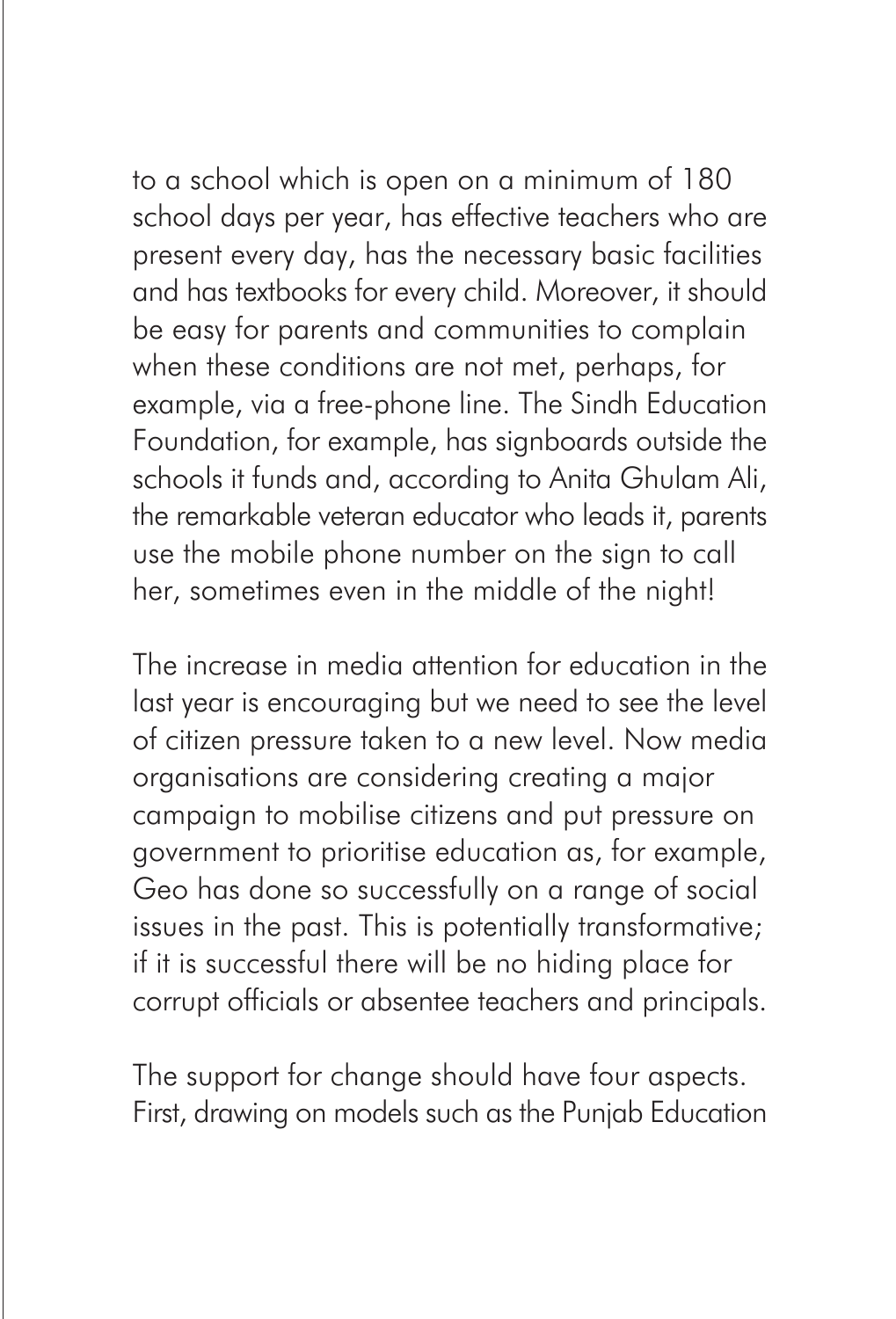to a school which is open on a minimum of 180 school days per year, has effective teachers who are present every day, has the necessary basic facilities and has textbooks for every child. Moreover, it should be easy for parents and communities to complain when these conditions are not met, perhaps, for example, via a free-phone line. The Sindh Education Foundation, for example, has signboards outside the schools it funds and, according to Anita Ghulam Ali, the remarkable veteran educator who leads it, parents use the mobile phone number on the sign to call her, sometimes even in the middle of the night!

The increase in media attention for education in the last year is encouraging but we need to see the level of citizen pressure taken to a new level. Now media organisations are considering creating a major campaign to mobilise citizens and put pressure on government to prioritise education as, for example, Geo has done so successfully on a range of social issues in the past. This is potentially transformative; if it is successful there will be no hiding place for corrupt officials or absentee teachers and principals.

The support for change should have four aspects. First, drawing on models such as the Punjab Education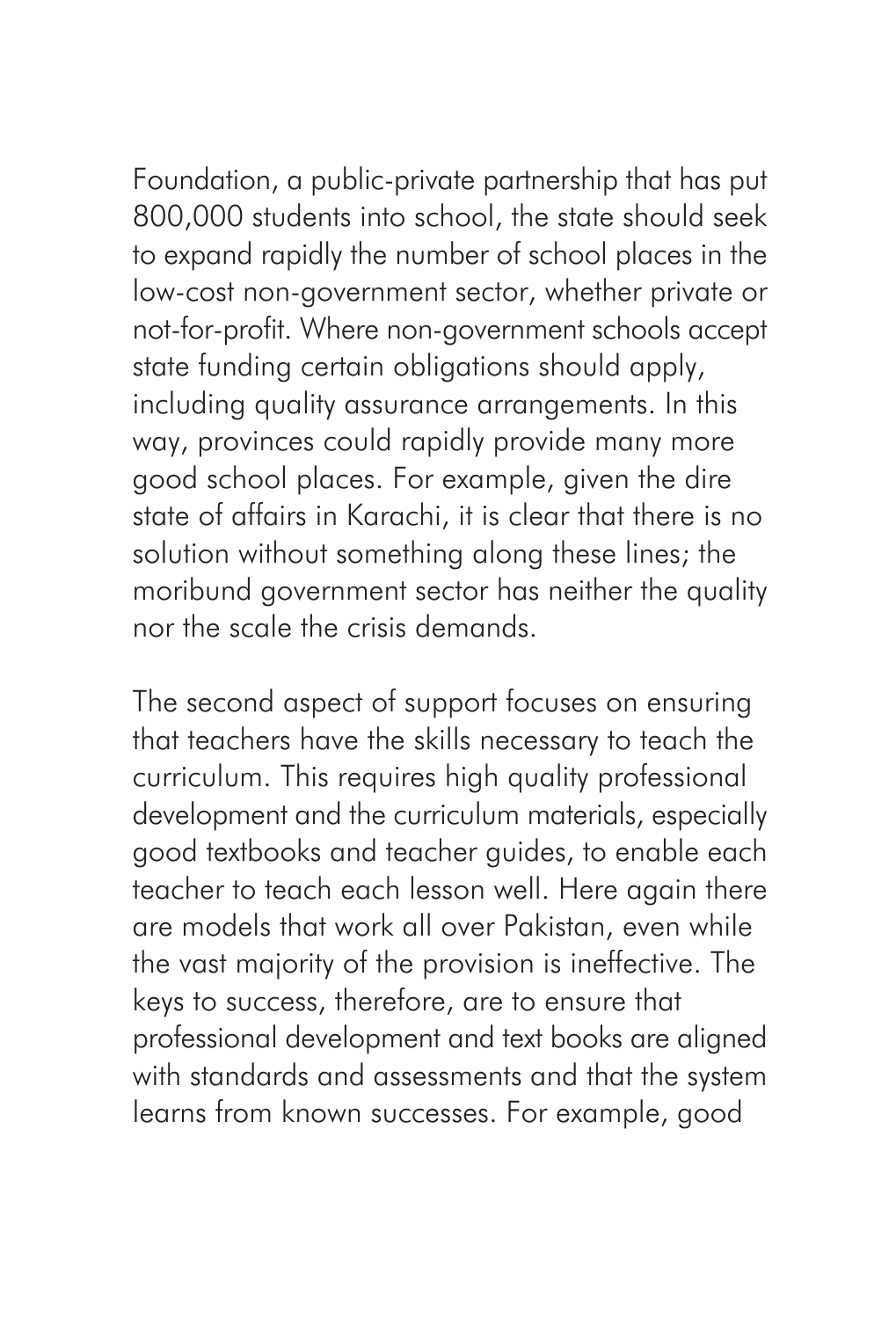Foundation, a public-private partnership that has put 800,000 students into school, the state should seek to expand rapidly the number of school places in the low-cost non-government sector, whether private or not-for-profit. Where non-government schools accept state funding certain obligations should apply, including quality assurance arrangements. In this way, provinces could rapidly provide many more good school places. For example, given the dire state of affairs in Karachi, it is clear that there is no solution without something along these lines; the moribund government sector has neither the quality nor the scale the crisis demands.

The second aspect of support focuses on ensuring that teachers have the skills necessary to teach the curriculum. This requires high quality professional development and the curriculum materials, especially good textbooks and teacher guides, to enable each teacher to teach each lesson well. Here again there are models that work all over Pakistan, even while the vast majority of the provision is ineffective. The keys to success, therefore, are to ensure that professional development and text books are aligned with standards and assessments and that the system learns from known successes. For example, good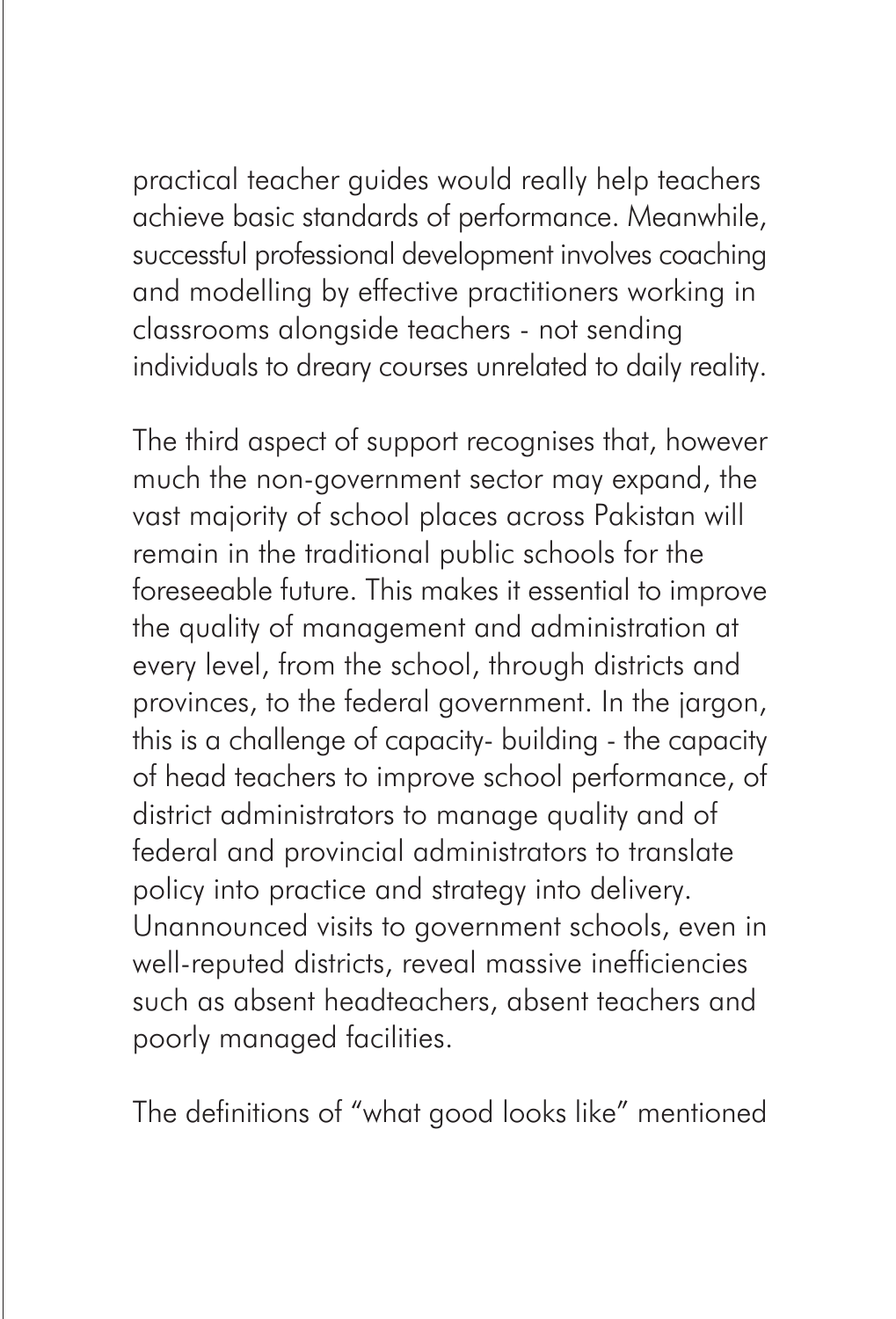practical teacher guides would really help teachers achieve basic standards of performance. Meanwhile, successful professional development involves coaching and modelling by effective practitioners working in classrooms alongside teachers - not sending individuals to dreary courses unrelated to daily reality.

The third aspect of support recognises that, however much the non-government sector may expand, the vast majority of school places across Pakistan will remain in the traditional public schools for the foreseeable future. This makes it essential to improve the quality of management and administration at every level, from the school, through districts and provinces, to the federal government. In the jargon, this is a challenge of capacity- building - the capacity of head teachers to improve school performance, of district administrators to manage quality and of federal and provincial administrators to translate policy into practice and strategy into delivery. Unannounced visits to government schools, even in well-reputed districts, reveal massive inefficiencies such as absent headteachers, absent teachers and poorly managed facilities.

The definitions of "what good looks like" mentioned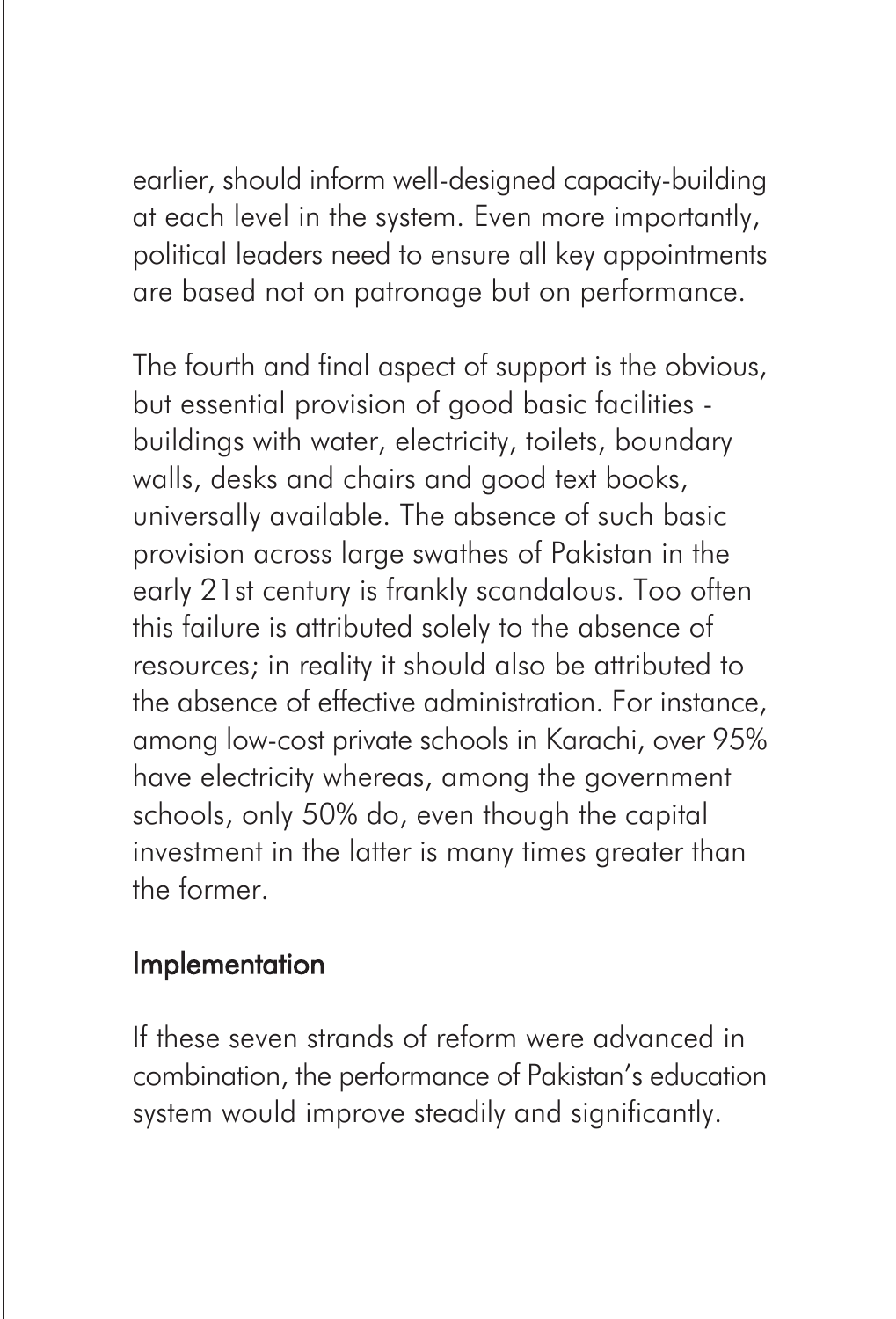earlier, should inform well-designed capacity-building at each level in the system. Even more importantly, political leaders need to ensure all key appointments are based not on patronage but on performance.

The fourth and final aspect of support is the obvious, but essential provision of good basic facilities buildings with water, electricity, toilets, boundary walls, desks and chairs and good text books, universally available. The absence of such basic provision across large swathes of Pakistan in the early 21st century is frankly scandalous. Too often this failure is attributed solely to the absence of resources; in reality it should also be attributed to the absence of effective administration. For instance, among low-cost private schools in Karachi, over 95% have electricity whereas, among the government schools, only 50% do, even though the capital investment in the latter is many times greater than the former.

### Implementation

If these seven strands of reform were advanced in combination, the performance of Pakistan's education system would improve steadily and significantly.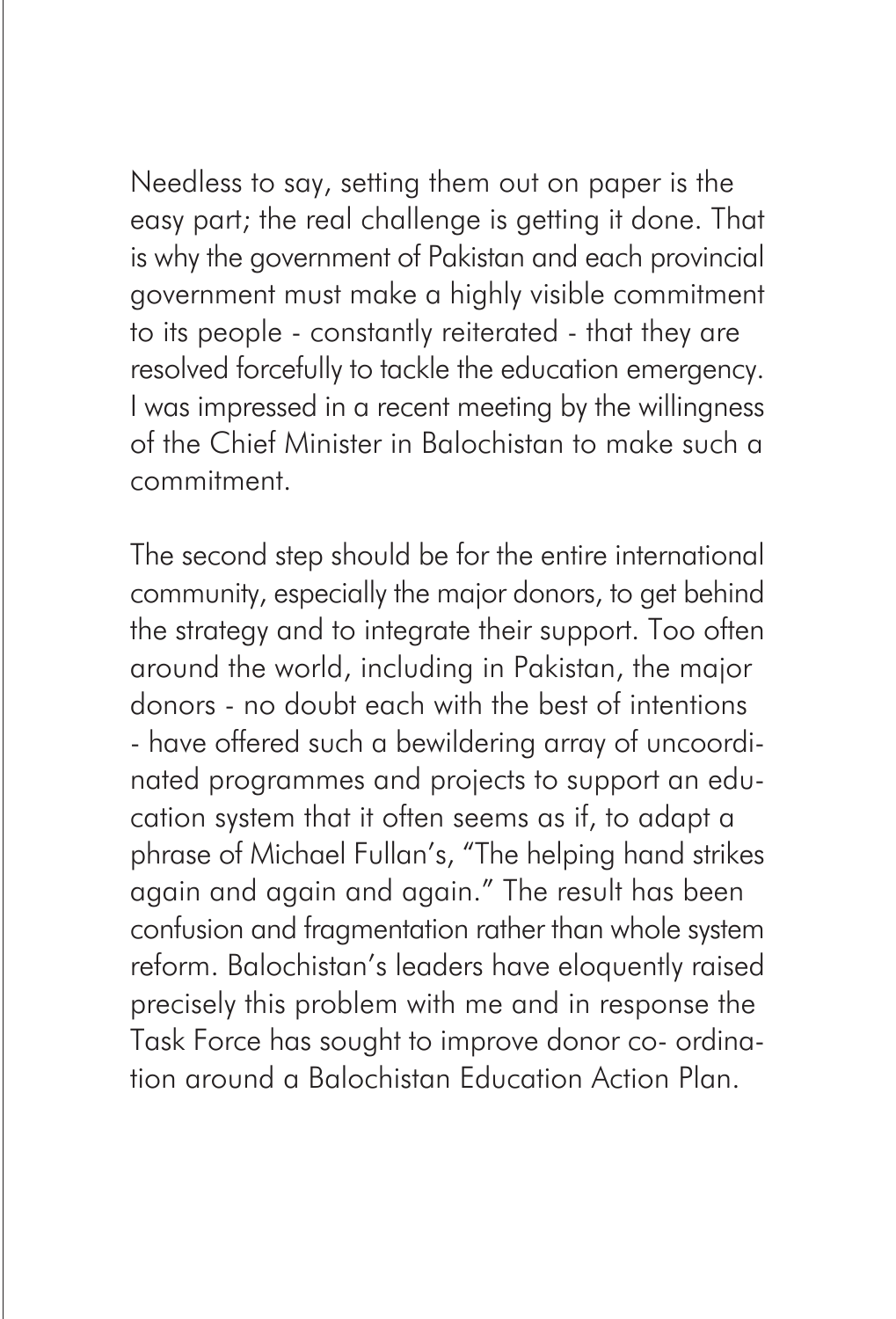Needless to say, setting them out on paper is the easy part; the real challenge is getting it done. That is why the government of Pakistan and each provincial government must make a highly visible commitment to its people - constantly reiterated - that they are resolved forcefully to tackle the education emergency. I was impressed in a recent meeting by the willingness of the Chief Minister in Balochistan to make such a commitment.

The second step should be for the entire international community, especially the major donors, to get behind the strategy and to integrate their support. Too often around the world, including in Pakistan, the major donors - no doubt each with the best of intentions - have offered such a bewildering array of uncoordinated programmes and projects to support an education system that it often seems as if, to adapt a phrase of Michael Fullan's, "The helping hand strikes again and again and again." The result has been confusion and fragmentation rather than whole system reform. Balochistan's leaders have eloquently raised precisely this problem with me and in response the Task Force has sought to improve donor co- ordination around a Balochistan Education Action Plan.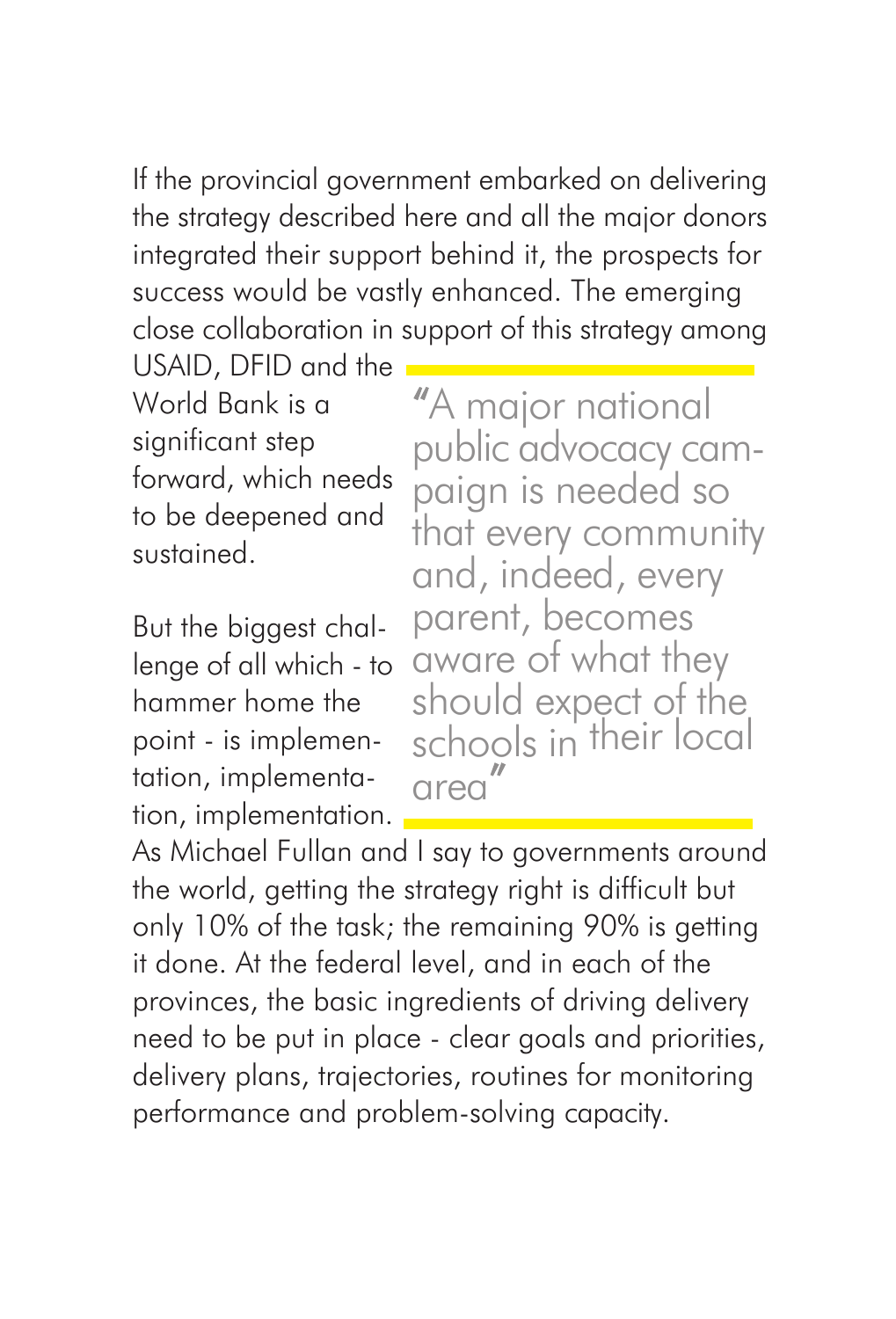If the provincial government embarked on delivering the strategy described here and all the major donors integrated their support behind it, the prospects for success would be vastly enhanced. The emerging close collaboration in support of this strategy among

USAID, DFID and the World Bank is a significant step forward, which needs to be deepened and sustained.

But the biggest challenge of all which - to hammer home the point - is implementation, implementation, implementation.

"A major national public advocacy campaign is needed so that every community and, indeed, every parent, becomes aware of what they should expect of the schools in their local area  $"$ 

As Michael Fullan and I say to governments around the world, getting the strategy right is difficult but only 10% of the task; the remaining 90% is getting it done. At the federal level, and in each of the provinces, the basic ingredients of driving delivery need to be put in place - clear goals and priorities, delivery plans, trajectories, routines for monitoring performance and problem-solving capacity.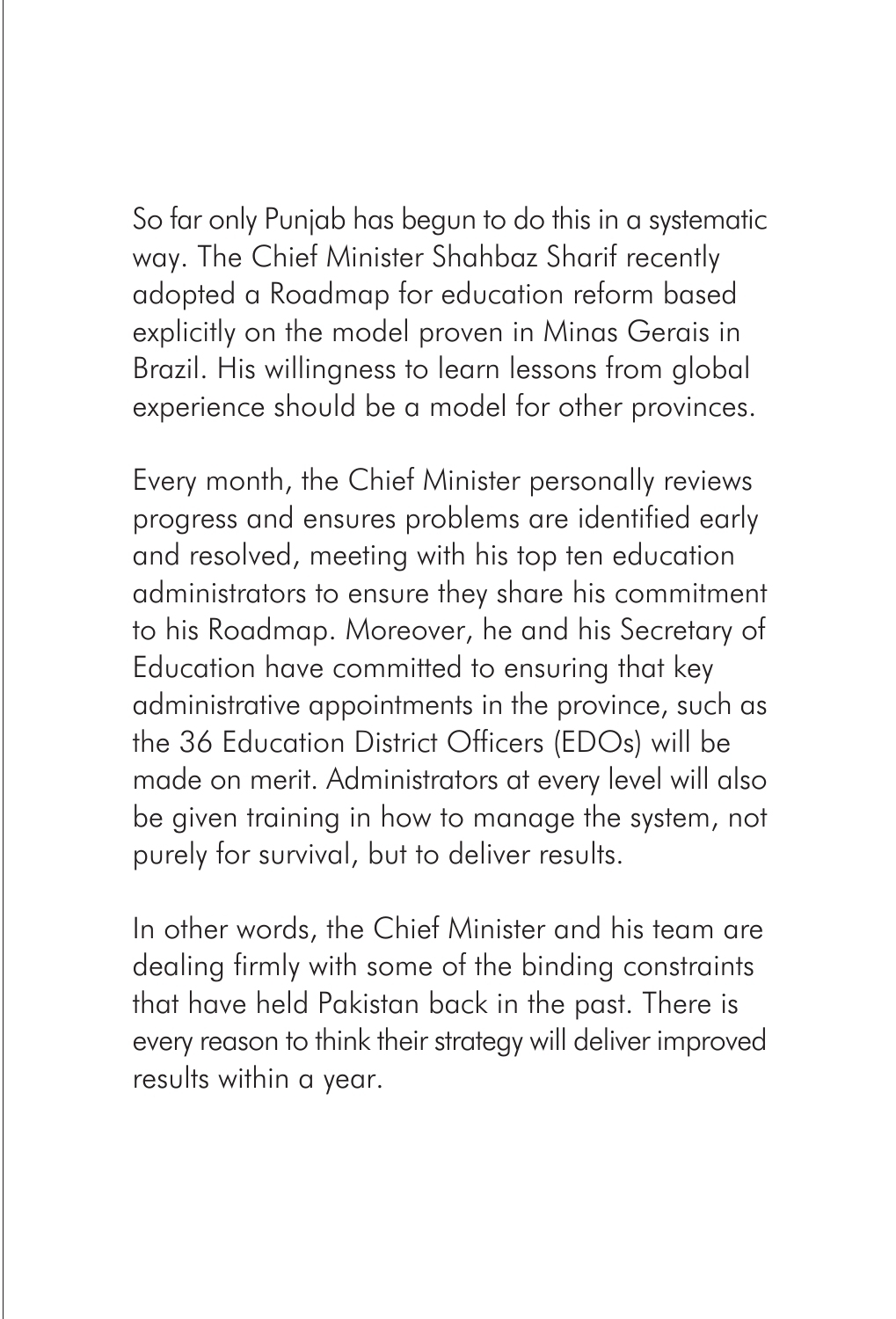So far only Punjab has begun to do this in a systematic way. The Chief Minister Shahbaz Sharif recently adopted a Roadmap for education reform based explicitly on the model proven in Minas Gerais in Brazil. His willingness to learn lessons from global experience should be a model for other provinces.

Every month, the Chief Minister personally reviews progress and ensures problems are identified early and resolved, meeting with his top ten education administrators to ensure they share his commitment to his Roadmap. Moreover, he and his Secretary of Education have committed to ensuring that key administrative appointments in the province, such as the 36 Education District Officers (EDOs) will be made on merit. Administrators at every level will also be given training in how to manage the system, not purely for survival, but to deliver results.

In other words, the Chief Minister and his team are dealing firmly with some of the binding constraints that have held Pakistan back in the past. There is every reason to think their strategy will deliver improved results within a year.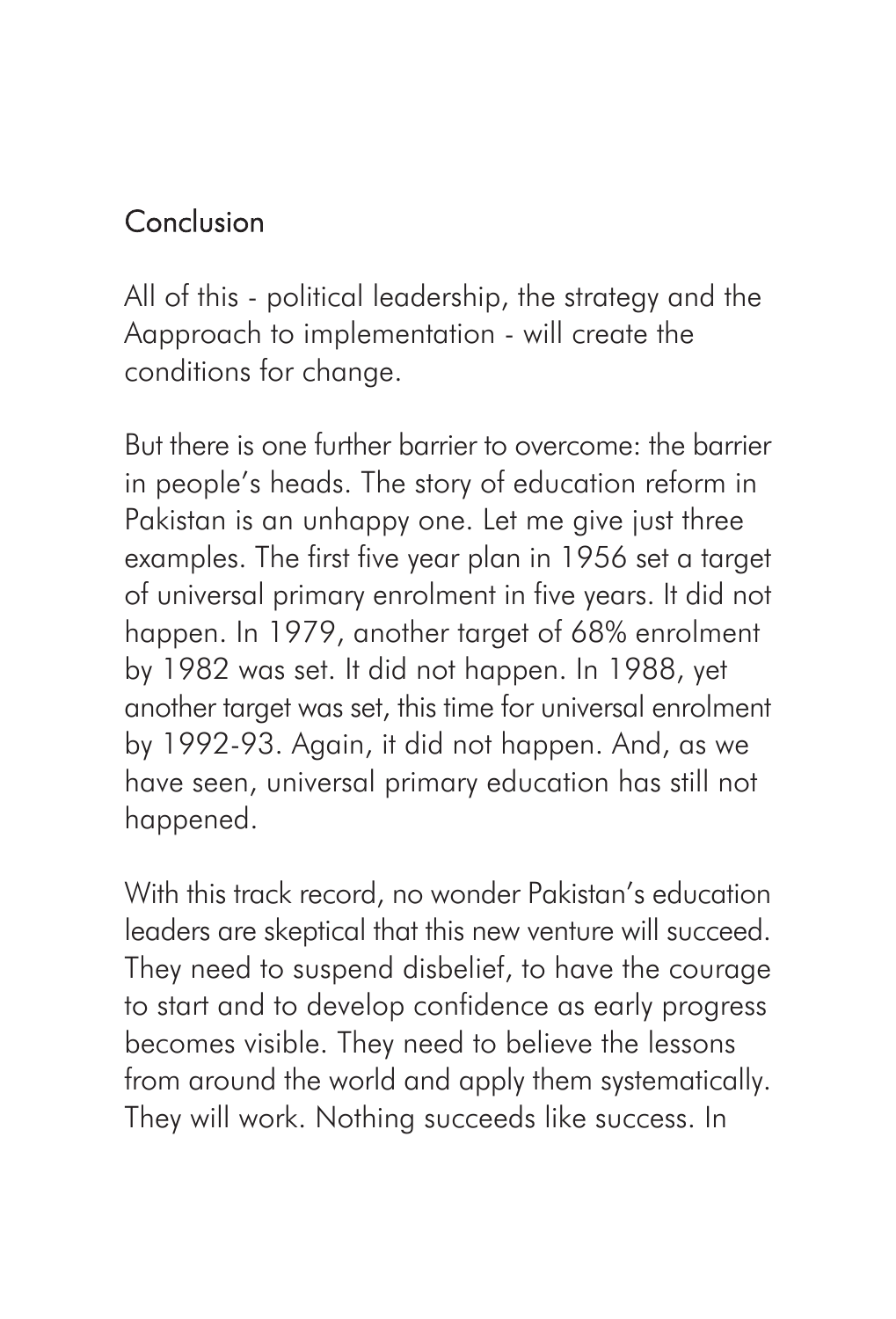# Conclusion

All of this - political leadership, the strategy and the Aapproach to implementation - will create the conditions for change.

But there is one further barrier to overcome: the barrier in people's heads. The story of education reform in Pakistan is an unhappy one. Let me give just three examples. The first five year plan in 1956 set a target of universal primary enrolment in five years. It did not happen. In 1979, another target of 68% enrolment by 1982 was set. It did not happen. In 1988, yet another target was set, this time for universal enrolment by 1992-93. Again, it did not happen. And, as we have seen, universal primary education has still not happened.

With this track record, no wonder Pakistan's education leaders are skeptical that this new venture will succeed. They need to suspend disbelief, to have the courage to start and to develop confidence as early progress becomes visible. They need to believe the lessons from around the world and apply them systematically. They will work. Nothing succeeds like success. In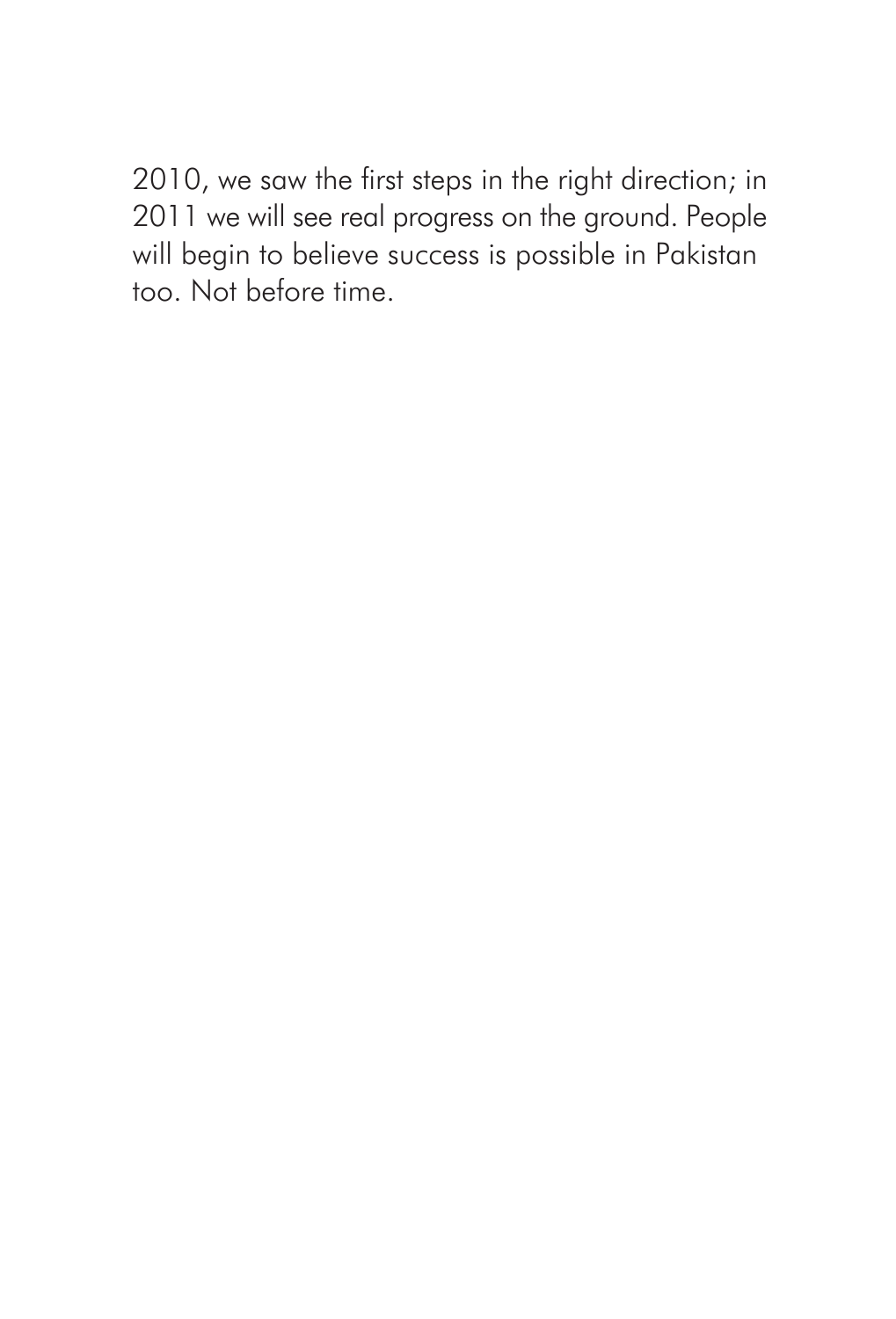2010, we saw the first steps in the right direction; in 2011 we will see real progress on the ground. People will begin to believe success is possible in Pakistan too. Not before time.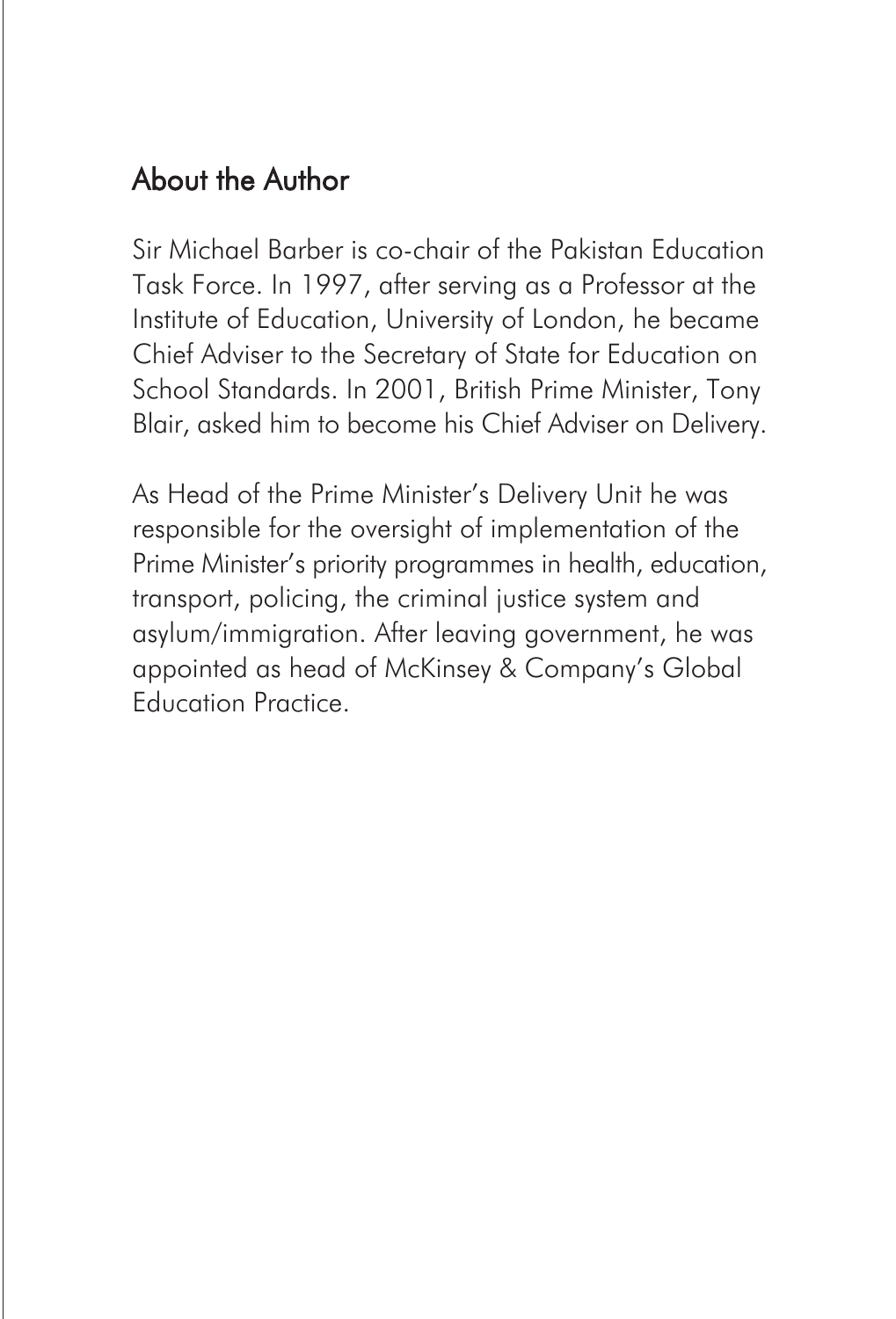### About the Author

Sir Michael Barber is co-chair of the Pakistan Education Task Force. In 1997, after serving as a Professor at the Institute of Education, University of London, he became Chief Adviser to the Secretary of State for Education on School Standards. In 2001, British Prime Minister, Tony Blair, asked him to become his Chief Adviser on Delivery.

As Head of the Prime Minister's Delivery Unit he was responsible for the oversight of implementation of the Prime Minister's priority programmes in health, education, transport, policing, the criminal justice system and asylum/immigration. After leaving government, he was appointed as head of McKinsey & Company's Global Education Practice.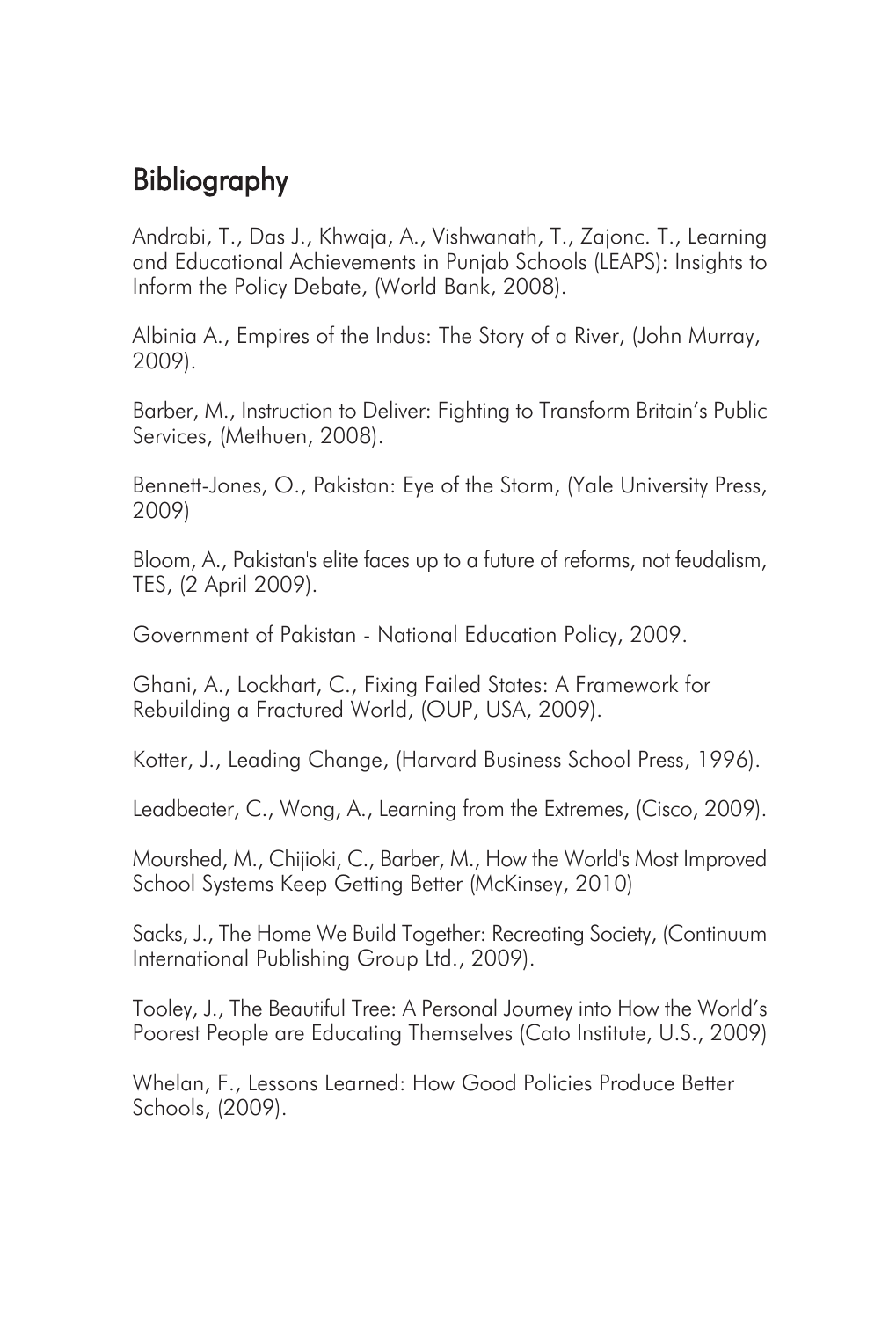## Bibliography

Andrabi, T., Das J., Khwaja, A., Vishwanath, T., Zajonc. T., Learning and Educational Achievements in Punjab Schools (LEAPS): Insights to Inform the Policy Debate, (World Bank, 2008).

Albinia A., Empires of the Indus: The Story of a River, (John Murray, 2009).

Barber, M., Instruction to Deliver: Fighting to Transform Britain's Public Services, (Methuen, 2008).

Bennett-Jones, O., Pakistan: Eye of the Storm, (Yale University Press, 2009)

Bloom, A., Pakistan's elite faces up to a future of reforms, not feudalism, TES, (2 April 2009).

Government of Pakistan - National Education Policy, 2009.

Ghani, A., Lockhart, C., Fixing Failed States: A Framework for Rebuilding a Fractured World, (OUP, USA, 2009).

Kotter, J., Leading Change, (Harvard Business School Press, 1996).

Leadbeater, C., Wong, A., Learning from the Extremes, (Cisco, 2009).

Mourshed, M., Chijioki, C., Barber, M., How the World's Most Improved School Systems Keep Getting Better (McKinsey, 2010)

Sacks, J., The Home We Build Together: Recreating Society, (Continuum International Publishing Group Ltd., 2009).

Tooley, J., The Beautiful Tree: A Personal Journey into How the World's Poorest People are Educating Themselves (Cato Institute, U.S., 2009)

Whelan, F., Lessons Learned: How Good Policies Produce Better Schools, (2009).